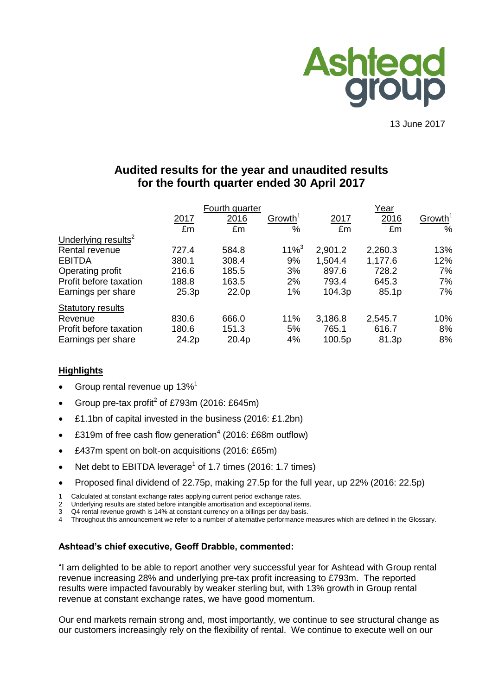

13 June 2017

# **Audited results for the year and unaudited results for the fourth quarter ended 30 April 2017**

|                                 |       | Fourth quarter    |                     |         | Year    |                     |
|---------------------------------|-------|-------------------|---------------------|---------|---------|---------------------|
|                                 | 2017  | 2016              | Growth <sup>1</sup> | 2017    | 2016    | Growth <sup>1</sup> |
|                                 | £m    | £m                | $\frac{0}{0}$       | £m      | £m      | $\%$                |
| Underlying results <sup>2</sup> |       |                   |                     |         |         |                     |
| Rental revenue                  | 727.4 | 584.8             | $11\%$ <sup>3</sup> | 2,901.2 | 2,260.3 | 13%                 |
| <b>EBITDA</b>                   | 380.1 | 308.4             | 9%                  | 1,504.4 | 1,177.6 | 12%                 |
| Operating profit                | 216.6 | 185.5             | 3%                  | 897.6   | 728.2   | 7%                  |
| Profit before taxation          | 188.8 | 163.5             | 2%                  | 793.4   | 645.3   | 7%                  |
| Earnings per share              | 25.3p | 22.0 <sub>p</sub> | 1%                  | 104.3p  | 85.1p   | 7%                  |
| <b>Statutory results</b>        |       |                   |                     |         |         |                     |
| Revenue                         | 830.6 | 666.0             | 11%                 | 3,186.8 | 2,545.7 | 10%                 |
| Profit before taxation          | 180.6 | 151.3             | 5%                  | 765.1   | 616.7   | 8%                  |
| Earnings per share              | 24.2p | 20.4p             | 4%                  | 100.5p  | 81.3p   | 8%                  |

## **Highlights**

- Group rental revenue up 13%<sup>1</sup>
- Group pre-tax profit<sup>2</sup> of £793m (2016: £645m)
- £1.1bn of capital invested in the business (2016: £1.2bn)
- £319m of free cash flow generation<sup>4</sup> (2016: £68m outflow)
- £437m spent on bolt-on acquisitions (2016: £65m)
- Net debt to EBITDA leverage<sup>1</sup> of 1.7 times (2016: 1.7 times)
- Proposed final dividend of 22.75p, making 27.5p for the full year, up 22% (2016: 22.5p)
- 1 Calculated at constant exchange rates applying current period exchange rates.
- 2 Underlying results are stated before intangible amortisation and exceptional items.
- 3 Q4 rental revenue growth is 14% at constant currency on a billings per day basis.<br>4 Throughout this announcement we refer to a number of alternative performance m
- Throughout this announcement we refer to a number of alternative performance measures which are defined in the Glossary.

# **Ashtead's chief executive, Geoff Drabble, commented:**

"I am delighted to be able to report another very successful year for Ashtead with Group rental revenue increasing 28% and underlying pre-tax profit increasing to £793m. The reported results were impacted favourably by weaker sterling but, with 13% growth in Group rental revenue at constant exchange rates, we have good momentum.

Our end markets remain strong and, most importantly, we continue to see structural change as our customers increasingly rely on the flexibility of rental. We continue to execute well on our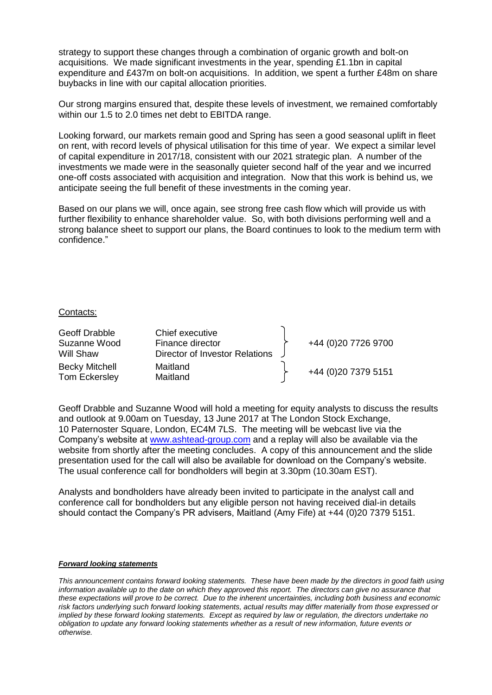strategy to support these changes through a combination of organic growth and bolt-on acquisitions. We made significant investments in the year, spending £1.1bn in capital expenditure and £437m on bolt-on acquisitions. In addition, we spent a further £48m on share buybacks in line with our capital allocation priorities.

Our strong margins ensured that, despite these levels of investment, we remained comfortably within our 1.5 to 2.0 times net debt to EBITDA range.

Looking forward, our markets remain good and Spring has seen a good seasonal uplift in fleet on rent, with record levels of physical utilisation for this time of year. We expect a similar level of capital expenditure in 2017/18, consistent with our 2021 strategic plan. A number of the investments we made were in the seasonally quieter second half of the year and we incurred one-off costs associated with acquisition and integration. Now that this work is behind us, we anticipate seeing the full benefit of these investments in the coming year.

Based on our plans we will, once again, see strong free cash flow which will provide us with further flexibility to enhance shareholder value. So, with both divisions performing well and a strong balance sheet to support our plans, the Board continues to look to the medium term with confidence."

#### Contacts:

| Geoff Drabble<br>Suzanne Wood<br>Will Shaw | Chief executive<br>Finance director<br>Director of Investor Relations | +44 (0)20 7726 9700 |
|--------------------------------------------|-----------------------------------------------------------------------|---------------------|
| <b>Becky Mitchell</b><br>Tom Eckersley     | Maitland<br>Maitland                                                  | +44 (0)20 7379 5151 |

Geoff Drabble and Suzanne Wood will hold a meeting for equity analysts to discuss the results and outlook at 9.00am on Tuesday, 13 June 2017 at The London Stock Exchange, 10 Paternoster Square, London, EC4M 7LS. The meeting will be webcast live via the Company's website at [www.ashtead-group.com](http://www.ashtead-group.com/) and a replay will also be available via the website from shortly after the meeting concludes. A copy of this announcement and the slide presentation used for the call will also be available for download on the Company's website. The usual conference call for bondholders will begin at 3.30pm (10.30am EST).

Analysts and bondholders have already been invited to participate in the analyst call and conference call for bondholders but any eligible person not having received dial-in details should contact the Company's PR advisers, Maitland (Amy Fife) at +44 (0)20 7379 5151.

#### *Forward looking statements*

*This announcement contains forward looking statements. These have been made by the directors in good faith using information available up to the date on which they approved this report. The directors can give no assurance that these expectations will prove to be correct. Due to the inherent uncertainties, including both business and economic risk factors underlying such forward looking statements, actual results may differ materially from those expressed or implied by these forward looking statements. Except as required by law or regulation, the directors undertake no obligation to update any forward looking statements whether as a result of new information, future events or otherwise.*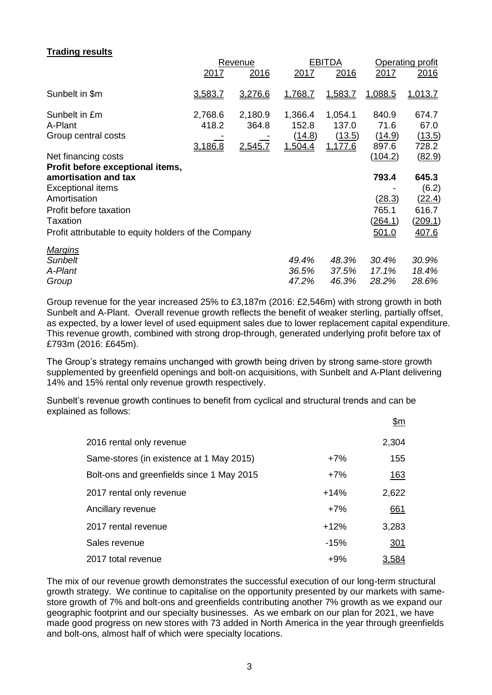## **Trading results**

|                                                      |         | Revenue |                | <b>EBITDA</b> | Operating profit |         |  |
|------------------------------------------------------|---------|---------|----------------|---------------|------------------|---------|--|
|                                                      | 2017    | 2016    | 2017           | 2016          | 2017             | 2016    |  |
| Sunbelt in \$m                                       | 3,583.7 | 3,276.6 | 1,768.7        | 1,583.7       | 1,088.5          | 1,013.7 |  |
| Sunbelt in £m                                        | 2,768.6 | 2,180.9 | 1,366.4        | 1,054.1       | 840.9            | 674.7   |  |
| A-Plant                                              | 418.2   | 364.8   | 152.8          | 137.0         | 71.6             | 67.0    |  |
| Group central costs                                  |         |         | (14.8)         | (13.5)        | (14.9)           | (13.5)  |  |
|                                                      | 3,186.8 | 2,545.7 | <u>1,504.4</u> | 1,177.6       | 897.6            | 728.2   |  |
| Net financing costs                                  |         |         |                |               | (104.2)          | (82.9)  |  |
| Profit before exceptional items,                     |         |         |                |               |                  |         |  |
| amortisation and tax                                 |         |         |                |               | 793.4            | 645.3   |  |
| <b>Exceptional items</b>                             |         |         |                |               |                  | (6.2)   |  |
| Amortisation                                         |         |         |                |               | (28.3)           | (22.4)  |  |
| Profit before taxation                               |         |         |                |               | 765.1            | 616.7   |  |
| Taxation                                             |         |         |                |               | <u>(264.1)</u>   | (209.1) |  |
| Profit attributable to equity holders of the Company |         |         |                |               | 501.0            | 407.6   |  |
|                                                      |         |         |                |               |                  |         |  |
| <b>Margins</b>                                       |         |         |                |               |                  |         |  |
| <b>Sunbelt</b>                                       |         |         | 49.4%          | 48.3%         | 30.4%            | 30.9%   |  |
| A-Plant                                              |         |         | 36.5%          | 37.5%         | 17.1%            | 18.4%   |  |
| Group                                                |         |         | 47.2%          | 46.3%         | 28.2%            | 28.6%   |  |

Group revenue for the year increased 25% to £3,187m (2016: £2,546m) with strong growth in both Sunbelt and A-Plant. Overall revenue growth reflects the benefit of weaker sterling, partially offset, as expected, by a lower level of used equipment sales due to lower replacement capital expenditure. This revenue growth, combined with strong drop-through, generated underlying profit before tax of £793m (2016: £645m).

The Group's strategy remains unchanged with growth being driven by strong same-store growth supplemented by greenfield openings and bolt-on acquisitions, with Sunbelt and A-Plant delivering 14% and 15% rental only revenue growth respectively.

Sunbelt's revenue growth continues to benefit from cyclical and structural trends and can be explained as follows:

|                                           |        | <u>\$m</u>  |
|-------------------------------------------|--------|-------------|
| 2016 rental only revenue                  |        | 2,304       |
| Same-stores (in existence at 1 May 2015)  | $+7%$  | 155         |
| Bolt-ons and greenfields since 1 May 2015 | $+7%$  | <u> 163</u> |
| 2017 rental only revenue                  | $+14%$ | 2,622       |
| Ancillary revenue                         | $+7%$  | 661         |
| 2017 rental revenue                       | $+12%$ | 3,283       |
| Sales revenue                             | $-15%$ | <u>301</u>  |
| 2017 total revenue                        | $+9%$  | 3,584       |

The mix of our revenue growth demonstrates the successful execution of our long-term structural growth strategy. We continue to capitalise on the opportunity presented by our markets with samestore growth of 7% and bolt-ons and greenfields contributing another 7% growth as we expand our geographic footprint and our specialty businesses. As we embark on our plan for 2021, we have made good progress on new stores with 73 added in North America in the year through greenfields and bolt-ons, almost half of which were specialty locations.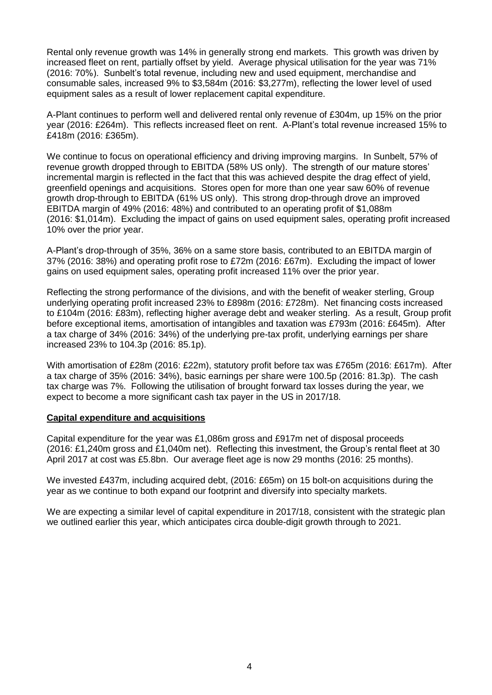Rental only revenue growth was 14% in generally strong end markets. This growth was driven by increased fleet on rent, partially offset by yield. Average physical utilisation for the year was 71% (2016: 70%). Sunbelt's total revenue, including new and used equipment, merchandise and consumable sales, increased 9% to \$3,584m (2016: \$3,277m), reflecting the lower level of used equipment sales as a result of lower replacement capital expenditure.

A-Plant continues to perform well and delivered rental only revenue of £304m, up 15% on the prior year (2016: £264m). This reflects increased fleet on rent. A-Plant's total revenue increased 15% to £418m (2016: £365m).

We continue to focus on operational efficiency and driving improving margins. In Sunbelt, 57% of revenue growth dropped through to EBITDA (58% US only). The strength of our mature stores' incremental margin is reflected in the fact that this was achieved despite the drag effect of yield, greenfield openings and acquisitions. Stores open for more than one year saw 60% of revenue growth drop-through to EBITDA (61% US only). This strong drop-through drove an improved EBITDA margin of 49% (2016: 48%) and contributed to an operating profit of \$1,088m (2016: \$1,014m). Excluding the impact of gains on used equipment sales, operating profit increased 10% over the prior year.

A-Plant's drop-through of 35%, 36% on a same store basis, contributed to an EBITDA margin of 37% (2016: 38%) and operating profit rose to £72m (2016: £67m). Excluding the impact of lower gains on used equipment sales, operating profit increased 11% over the prior year.

Reflecting the strong performance of the divisions, and with the benefit of weaker sterling, Group underlying operating profit increased 23% to £898m (2016: £728m). Net financing costs increased to £104m (2016: £83m), reflecting higher average debt and weaker sterling. As a result, Group profit before exceptional items, amortisation of intangibles and taxation was £793m (2016: £645m). After a tax charge of 34% (2016: 34%) of the underlying pre-tax profit, underlying earnings per share increased 23% to 104.3p (2016: 85.1p).

With amortisation of £28m (2016: £22m), statutory profit before tax was £765m (2016: £617m). After a tax charge of 35% (2016: 34%), basic earnings per share were 100.5p (2016: 81.3p). The cash tax charge was 7%. Following the utilisation of brought forward tax losses during the year, we expect to become a more significant cash tax payer in the US in 2017/18.

#### **Capital expenditure and acquisitions**

Capital expenditure for the year was £1,086m gross and £917m net of disposal proceeds (2016: £1,240m gross and £1,040m net). Reflecting this investment, the Group's rental fleet at 30 April 2017 at cost was £5.8bn. Our average fleet age is now 29 months (2016: 25 months).

We invested £437m, including acquired debt, (2016: £65m) on 15 bolt-on acquisitions during the year as we continue to both expand our footprint and diversify into specialty markets.

We are expecting a similar level of capital expenditure in 2017/18, consistent with the strategic plan we outlined earlier this year, which anticipates circa double-digit growth through to 2021.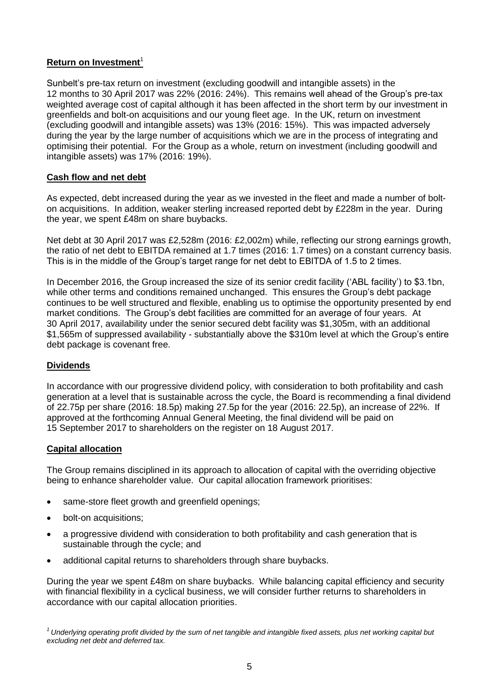# **Return on Investment**<sup>1</sup>

Sunbelt's pre-tax return on investment (excluding goodwill and intangible assets) in the 12 months to 30 April 2017 was 22% (2016: 24%). This remains well ahead of the Group's pre-tax weighted average cost of capital although it has been affected in the short term by our investment in greenfields and bolt-on acquisitions and our young fleet age. In the UK, return on investment (excluding goodwill and intangible assets) was 13% (2016: 15%). This was impacted adversely during the year by the large number of acquisitions which we are in the process of integrating and optimising their potential. For the Group as a whole, return on investment (including goodwill and intangible assets) was 17% (2016: 19%).

# **Cash flow and net debt**

As expected, debt increased during the year as we invested in the fleet and made a number of bolton acquisitions. In addition, weaker sterling increased reported debt by £228m in the year. During the year, we spent £48m on share buybacks.

Net debt at 30 April 2017 was £2,528m (2016: £2,002m) while, reflecting our strong earnings growth, the ratio of net debt to EBITDA remained at 1.7 times (2016: 1.7 times) on a constant currency basis. This is in the middle of the Group's target range for net debt to EBITDA of 1.5 to 2 times.

In December 2016, the Group increased the size of its senior credit facility ('ABL facility') to \$3.1bn, while other terms and conditions remained unchanged. This ensures the Group's debt package continues to be well structured and flexible, enabling us to optimise the opportunity presented by end market conditions. The Group's debt facilities are committed for an average of four years. At 30 April 2017, availability under the senior secured debt facility was \$1,305m, with an additional \$1,565m of suppressed availability - substantially above the \$310m level at which the Group's entire debt package is covenant free.

# **Dividends**

In accordance with our progressive dividend policy, with consideration to both profitability and cash generation at a level that is sustainable across the cycle, the Board is recommending a final dividend of 22.75p per share (2016: 18.5p) making 27.5p for the year (2016: 22.5p), an increase of 22%. If approved at the forthcoming Annual General Meeting, the final dividend will be paid on 15 September 2017 to shareholders on the register on 18 August 2017.

# **Capital allocation**

The Group remains disciplined in its approach to allocation of capital with the overriding objective being to enhance shareholder value. Our capital allocation framework prioritises:

- same-store fleet growth and greenfield openings;
- bolt-on acquisitions;
- a progressive dividend with consideration to both profitability and cash generation that is sustainable through the cycle; and
- additional capital returns to shareholders through share buybacks.

During the year we spent £48m on share buybacks. While balancing capital efficiency and security with financial flexibility in a cyclical business, we will consider further returns to shareholders in accordance with our capital allocation priorities.

*<sup>1</sup>Underlying operating profit divided by the sum of net tangible and intangible fixed assets, plus net working capital but excluding net debt and deferred tax.*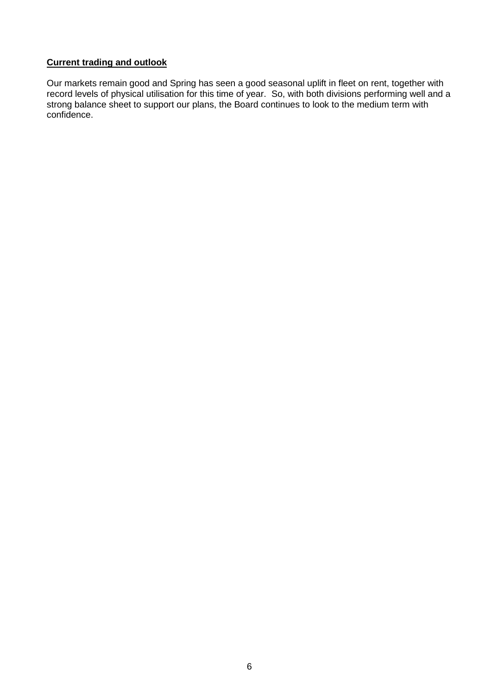# **Current trading and outlook**

Our markets remain good and Spring has seen a good seasonal uplift in fleet on rent, together with record levels of physical utilisation for this time of year. So, with both divisions performing well and a strong balance sheet to support our plans, the Board continues to look to the medium term with confidence.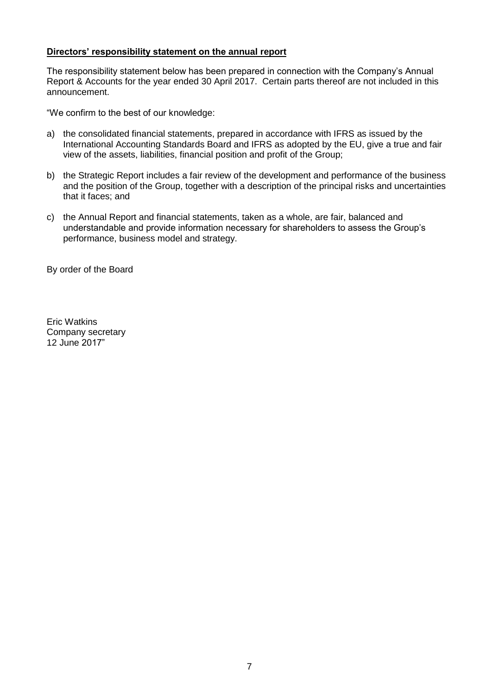## **Directors' responsibility statement on the annual report**

The responsibility statement below has been prepared in connection with the Company's Annual Report & Accounts for the year ended 30 April 2017. Certain parts thereof are not included in this announcement.

"We confirm to the best of our knowledge:

- a) the consolidated financial statements, prepared in accordance with IFRS as issued by the International Accounting Standards Board and IFRS as adopted by the EU, give a true and fair view of the assets, liabilities, financial position and profit of the Group;
- b) the Strategic Report includes a fair review of the development and performance of the business and the position of the Group, together with a description of the principal risks and uncertainties that it faces; and
- c) the Annual Report and financial statements, taken as a whole, are fair, balanced and understandable and provide information necessary for shareholders to assess the Group's performance, business model and strategy.

By order of the Board

Eric Watkins Company secretary 12 June 2017"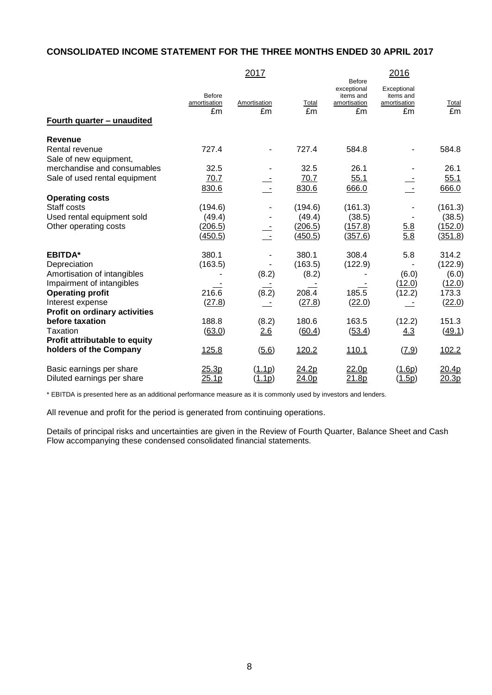# **CONSOLIDATED INCOME STATEMENT FOR THE THREE MONTHS ENDED 30 APRIL 2017**

|                                                                                                                                                          | 2017                                    |                          |                                         | <b>Before</b>                                  | 2016                                           |                                               |
|----------------------------------------------------------------------------------------------------------------------------------------------------------|-----------------------------------------|--------------------------|-----------------------------------------|------------------------------------------------|------------------------------------------------|-----------------------------------------------|
| Fourth quarter - unaudited                                                                                                                               | Before<br>amortisation<br>£m            | Amortisation<br>£m       | Total<br>£m                             | exceptional<br>items and<br>amortisation<br>£m | Exceptional<br>items and<br>amortisation<br>£m | <b>Total</b><br>£m                            |
|                                                                                                                                                          |                                         |                          |                                         |                                                |                                                |                                               |
| <b>Revenue</b><br>Rental revenue<br>Sale of new equipment,                                                                                               | 727.4                                   |                          | 727.4                                   | 584.8                                          |                                                | 584.8                                         |
| merchandise and consumables                                                                                                                              | 32.5                                    |                          | 32.5                                    | 26.1                                           |                                                | 26.1                                          |
| Sale of used rental equipment                                                                                                                            | 70.7                                    |                          | 70.7                                    | 55.1                                           |                                                | 55.1                                          |
|                                                                                                                                                          | 830.6                                   |                          | 830.6                                   | 666.0                                          |                                                | 666.0                                         |
| <b>Operating costs</b><br>Staff costs<br>Used rental equipment sold<br>Other operating costs                                                             | (194.6)<br>(49.4)<br>(206.5)<br>(450.5) | $\overline{\phantom{a}}$ | (194.6)<br>(49.4)<br>(206.5)<br>(450.5) | (161.3)<br>(38.5)<br>(157.8)<br>(357.6)        | <u>5.8</u><br>$\overline{5.8}$                 | (161.3)<br>(38.5)<br>(152.0)<br>(351.8)       |
| <b>EBITDA*</b>                                                                                                                                           | 380.1                                   |                          | 380.1                                   | 308.4                                          | 5.8                                            | 314.2                                         |
| Depreciation<br>Amortisation of intangibles<br>Impairment of intangibles<br><b>Operating profit</b><br>Interest expense<br>Profit on ordinary activities | (163.5)<br>216.6<br>(27.8)              | (8.2)<br>(8.2)           | (163.5)<br>(8.2)<br>208.4<br>(27.8)     | (122.9)<br>185.5<br>(22.0)                     | (6.0)<br>(12.0)<br>(12.2)                      | (122.9)<br>(6.0)<br>(12.0)<br>173.3<br>(22.0) |
| before taxation                                                                                                                                          | 188.8                                   | (8.2)                    | 180.6                                   | 163.5                                          | (12.2)                                         | 151.3                                         |
| Taxation                                                                                                                                                 | (63.0)                                  | 2.6                      | (60.4)                                  | (53.4)                                         | 4.3                                            | (49.1)                                        |
| Profit attributable to equity<br>holders of the Company                                                                                                  | <u>125.8</u>                            | (5.6)                    | 120.2                                   | 110.1                                          | (7.9)                                          | 102.2                                         |
| Basic earnings per share<br>Diluted earnings per share                                                                                                   | 25.3p<br>25.1p                          | (1.1p)<br>(1.1p)         | 24.2p<br>24.0p                          | 22.0p<br>21.8p                                 | (1.6p)<br>(1.5p)                               | 20.4p<br>20.3p                                |

\* EBITDA is presented here as an additional performance measure as it is commonly used by investors and lenders.

All revenue and profit for the period is generated from continuing operations.

Details of principal risks and uncertainties are given in the Review of Fourth Quarter, Balance Sheet and Cash Flow accompanying these condensed consolidated financial statements.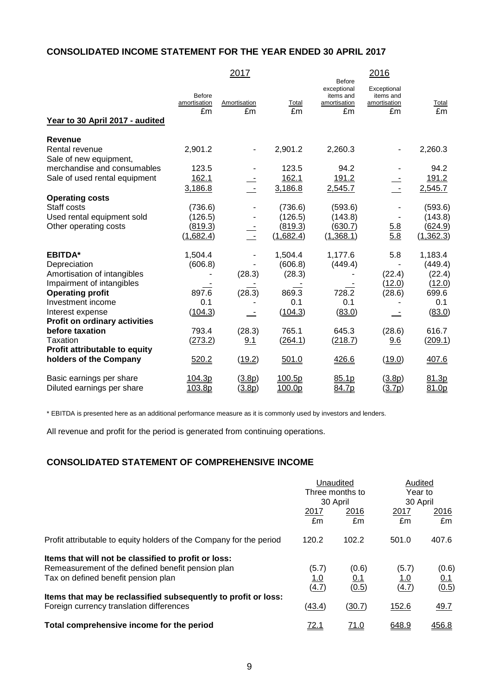# **CONSOLIDATED INCOME STATEMENT FOR THE YEAR ENDED 30 APRIL 2017**

|                                          |                                     | 2017               |             | <b>Before</b>                                  | 2016                                           |             |
|------------------------------------------|-------------------------------------|--------------------|-------------|------------------------------------------------|------------------------------------------------|-------------|
| Year to 30 April 2017 - audited          | <b>Before</b><br>amortisation<br>£m | Amortisation<br>£m | Total<br>£m | exceptional<br>items and<br>amortisation<br>£m | Exceptional<br>items and<br>amortisation<br>£m | Total<br>£m |
| <b>Revenue</b>                           |                                     |                    |             |                                                |                                                |             |
| Rental revenue<br>Sale of new equipment, | 2,901.2                             |                    | 2,901.2     | 2,260.3                                        |                                                | 2,260.3     |
| merchandise and consumables              | 123.5                               |                    | 123.5       | 94.2                                           |                                                | 94.2        |
| Sale of used rental equipment            | 162.1                               |                    | 162.1       | 191.2                                          |                                                | 191.2       |
|                                          | 3,186.8                             |                    | 3,186.8     | 2,545.7                                        |                                                | 2,545.7     |
| <b>Operating costs</b>                   |                                     |                    |             |                                                |                                                |             |
| Staff costs                              | (736.6)                             |                    | (736.6)     | (593.6)                                        |                                                | (593.6)     |
| Used rental equipment sold               | (126.5)                             |                    | (126.5)     | (143.8)                                        |                                                | (143.8)     |
| Other operating costs                    | (819.3)                             |                    | (819.3)     | (630.7)                                        | $\frac{5.8}{5.8}$                              | (624.9)     |
|                                          | (1,682.4)                           | Ξ,                 | (1,682.4)   | (1,368.1)                                      |                                                | (1, 362.3)  |
| <b>EBITDA*</b>                           | 1,504.4                             |                    | 1,504.4     | 1,177.6                                        | 5.8                                            | 1,183.4     |
| Depreciation                             | (606.8)                             |                    | (606.8)     | (449.4)                                        |                                                | (449.4)     |
| Amortisation of intangibles              |                                     | (28.3)             | (28.3)      |                                                | (22.4)                                         | (22.4)      |
| Impairment of intangibles                |                                     |                    |             |                                                | (12.0)                                         | (12.0)      |
| <b>Operating profit</b>                  | 897.6                               | (28.3)             | 869.3       | 728.2                                          | (28.6)                                         | 699.6       |
| Investment income                        | 0.1                                 |                    | 0.1         | 0.1                                            |                                                | 0.1         |
| Interest expense                         | (104.3)                             |                    | (104.3)     | (83.0)                                         |                                                | (83.0)      |
| <b>Profit on ordinary activities</b>     |                                     |                    |             |                                                |                                                |             |
| before taxation                          | 793.4                               | (28.3)             | 765.1       | 645.3                                          | (28.6)                                         | 616.7       |
| Taxation                                 | (273.2)                             | 9.1                | (264.1)     | (218.7)                                        | 9.6                                            | (209.1)     |
| Profit attributable to equity            |                                     |                    |             |                                                |                                                |             |
| holders of the Company                   | 520.2                               | (19.2)             | 501.0       | 426.6                                          | (19.0)                                         | 407.6       |
| Basic earnings per share                 | 104.3p                              | (3.8p)             | 100.5p      | 85.1p                                          | (3.8p)                                         | 81.3p       |
| Diluted earnings per share               | 103.8p                              | (3.8p)             | 100.0p      | 84.7p                                          | (3.7p)                                         | 81.0p       |

\* EBITDA is presented here as an additional performance measure as it is commonly used by investors and lenders.

All revenue and profit for the period is generated from continuing operations.

# **CONSOLIDATED STATEMENT OF COMPREHENSIVE INCOME**

|                                                                     | Unaudited<br>Three months to |             | Audited<br>Year to |       |
|---------------------------------------------------------------------|------------------------------|-------------|--------------------|-------|
|                                                                     |                              |             |                    |       |
|                                                                     |                              | 30 April    | 30 April           |       |
|                                                                     | 2017                         | 2016        | 2017               | 2016  |
|                                                                     | £m                           | £m          | £m                 | £m    |
| Profit attributable to equity holders of the Company for the period | 120.2                        | 102.2       | 501.0              | 407.6 |
| Items that will not be classified to profit or loss:                |                              |             |                    |       |
| Remeasurement of the defined benefit pension plan                   | (5.7)                        | (0.6)       | (5.7)              | (0.6) |
| Tax on defined benefit pension plan                                 | <u>1.0</u>                   | <u>0.1</u>  | <u> 1.0</u>        | 0.1   |
|                                                                     | (4.7)                        | (0.5)       | (4.7)              | (0.5) |
| Items that may be reclassified subsequently to profit or loss:      |                              |             |                    |       |
| Foreign currency translation differences                            | (43.4)                       | (30.7)      | 152.6              | 49.7  |
| Total comprehensive income for the period                           | 72.1                         | <u>71.0</u> | 648.9              | 456.8 |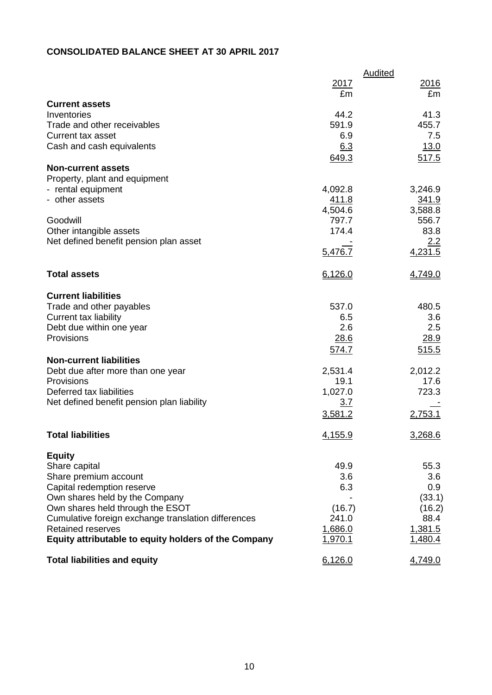# **CONSOLIDATED BALANCE SHEET AT 30 APRIL 2017**

|                                                      | 2017          | Audited<br>2016 |
|------------------------------------------------------|---------------|-----------------|
|                                                      | £m            | £m              |
| <b>Current assets</b>                                |               |                 |
| Inventories<br>Trade and other receivables           | 44.2<br>591.9 | 41.3<br>455.7   |
| <b>Current tax asset</b>                             | 6.9           | 7.5             |
| Cash and cash equivalents                            | 6.3           | 13.0            |
|                                                      | 649.3         | 517.5           |
| <b>Non-current assets</b>                            |               |                 |
| Property, plant and equipment                        |               |                 |
| - rental equipment                                   | 4,092.8       | 3,246.9         |
| - other assets                                       | <u>411.8</u>  | 341.9           |
|                                                      | 4,504.6       | 3,588.8         |
| Goodwill                                             | 797.7         | 556.7           |
| Other intangible assets                              | 174.4         | 83.8            |
| Net defined benefit pension plan asset               |               | 2.2             |
|                                                      | 5,476.7       | 4,231.5         |
| <b>Total assets</b>                                  | 6,126.0       | 4,749.0         |
|                                                      |               |                 |
| <b>Current liabilities</b>                           | 537.0         | 480.5           |
| Trade and other payables<br>Current tax liability    | 6.5           | 3.6             |
| Debt due within one year                             | 2.6           | 2.5             |
| Provisions                                           | 28.6          | 28.9            |
|                                                      | 574.7         | 515.5           |
| <b>Non-current liabilities</b>                       |               |                 |
| Debt due after more than one year                    | 2,531.4       | 2,012.2         |
| Provisions                                           | 19.1          | 17.6            |
| Deferred tax liabilities                             | 1,027.0       | 723.3           |
| Net defined benefit pension plan liability           | 3.7           |                 |
|                                                      | 3,581.2       | 2,753.1         |
| <b>Total liabilities</b>                             | 4,155.9       | 3,268.6         |
| <b>Equity</b>                                        |               |                 |
| Share capital                                        | 49.9          | 55.3            |
| Share premium account                                | 3.6           | 3.6             |
| Capital redemption reserve                           | 6.3           | 0.9             |
| Own shares held by the Company                       |               | (33.1)          |
| Own shares held through the ESOT                     | (16.7)        | (16.2)          |
| Cumulative foreign exchange translation differences  | 241.0         | 88.4            |
| <b>Retained reserves</b>                             | 1,686.0       | 1,381.5         |
| Equity attributable to equity holders of the Company | 1,970.1       | 1,480.4         |
| <b>Total liabilities and equity</b>                  | 6,126.0       | 4,749.0         |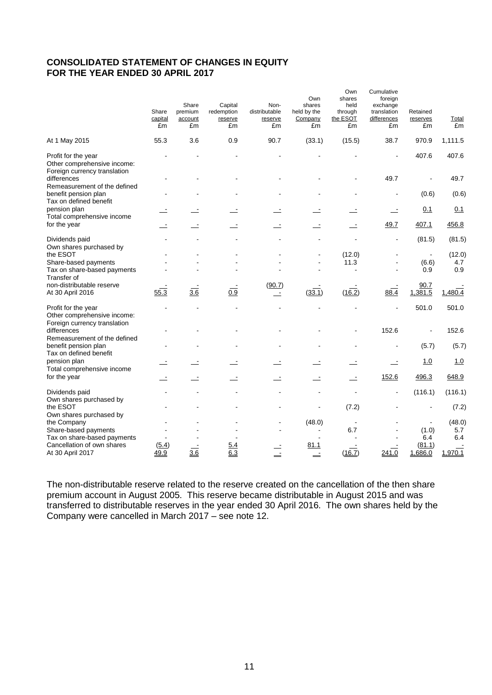## **CONSOLIDATED STATEMENT OF CHANGES IN EQUITY FOR THE YEAR ENDED 30 APRIL 2017**

|                                                                                    | Share<br>capital<br>£m | Share<br>premium<br>account<br>£m | Capital<br>redemption<br>reserve<br>£m | Non-<br>distributable<br>reserve<br>£m | Own<br>shares<br>held by the<br>Company<br>£m | Own<br>shares<br>held<br>through<br>the ESOT<br>£m | Cumulative<br>foreign<br>exchange<br>translation<br>differences<br>£m | Retained<br>reserves<br>£m | <b>Total</b><br>£m |
|------------------------------------------------------------------------------------|------------------------|-----------------------------------|----------------------------------------|----------------------------------------|-----------------------------------------------|----------------------------------------------------|-----------------------------------------------------------------------|----------------------------|--------------------|
| At 1 May 2015                                                                      | 55.3                   | 3.6                               | 0.9                                    | 90.7                                   | (33.1)                                        | (15.5)                                             | 38.7                                                                  | 970.9                      | 1,111.5            |
| Profit for the year<br>Other comprehensive income:<br>Foreign currency translation |                        |                                   |                                        |                                        |                                               |                                                    | $\overline{a}$                                                        | 407.6                      | 407.6              |
| differences<br>Remeasurement of the defined                                        |                        |                                   |                                        |                                        |                                               |                                                    | 49.7                                                                  |                            | 49.7               |
| benefit pension plan<br>Tax on defined benefit                                     |                        |                                   |                                        |                                        |                                               |                                                    |                                                                       | (0.6)                      | (0.6)              |
| pension plan<br>Total comprehensive income                                         |                        |                                   |                                        |                                        |                                               |                                                    | Ŀ                                                                     | 0.1                        | 0.1                |
| for the year                                                                       |                        |                                   |                                        |                                        |                                               |                                                    | 49.7                                                                  | 407.1                      | 456.8              |
| Dividends paid                                                                     |                        |                                   |                                        |                                        |                                               |                                                    |                                                                       | (81.5)                     | (81.5)             |
| Own shares purchased by<br>the ESOT                                                |                        |                                   |                                        |                                        |                                               | (12.0)                                             |                                                                       | $\blacksquare$             | (12.0)             |
| Share-based payments<br>Tax on share-based payments                                |                        |                                   |                                        |                                        |                                               | 11.3<br>$\blacksquare$                             |                                                                       | (6.6)<br>0.9               | 4.7<br>0.9         |
| Transfer of                                                                        |                        |                                   |                                        |                                        |                                               |                                                    |                                                                       |                            |                    |
| non-distributable reserve<br>At 30 April 2016                                      | 55.3                   | 3.6                               | 0.9                                    | (90.7)<br>$\equiv$                     | (33.1)                                        | (16.2)                                             | 88.4                                                                  | 90.7<br>1,381.5            | 1,480.4            |
| Profit for the year<br>Other comprehensive income:                                 |                        |                                   |                                        |                                        |                                               |                                                    |                                                                       | 501.0                      | 501.0              |
| Foreign currency translation<br>differences<br>Remeasurement of the defined        |                        |                                   |                                        |                                        |                                               |                                                    | 152.6                                                                 | $\overline{a}$             | 152.6              |
| benefit pension plan<br>Tax on defined benefit                                     |                        |                                   |                                        |                                        |                                               |                                                    |                                                                       | (5.7)                      | (5.7)              |
| pension plan<br>Total comprehensive income                                         |                        |                                   |                                        |                                        |                                               |                                                    |                                                                       | 1.0                        | 1.0                |
| for the year                                                                       |                        |                                   |                                        |                                        |                                               | $\overline{a}$                                     | 152.6                                                                 | 496.3                      | 648.9              |
| Dividends paid<br>Own shares purchased by                                          |                        |                                   |                                        |                                        |                                               |                                                    | ÷,                                                                    | (116.1)                    | (116.1)            |
| the ESOT<br>Own shares purchased by                                                |                        |                                   |                                        |                                        |                                               | (7.2)                                              |                                                                       |                            | (7.2)              |
| the Company<br>Share-based payments                                                |                        |                                   |                                        |                                        | (48.0)                                        | 6.7                                                |                                                                       | (1.0)                      | (48.0)<br>5.7      |
| Tax on share-based payments<br>Cancellation of own shares<br>At 30 April 2017      | (5.4)<br>49.9          | 3.6                               | <u>5.4</u><br>6.3                      |                                        | 81.1<br>$\equiv$                              | (16.7)                                             | 241.0                                                                 | 6.4<br>(81.1)<br>1,686.0   | 6.4<br>1,970.1     |

The non-distributable reserve related to the reserve created on the cancellation of the then share premium account in August 2005. This reserve became distributable in August 2015 and was transferred to distributable reserves in the year ended 30 April 2016. The own shares held by the Company were cancelled in March 2017 – see note 12.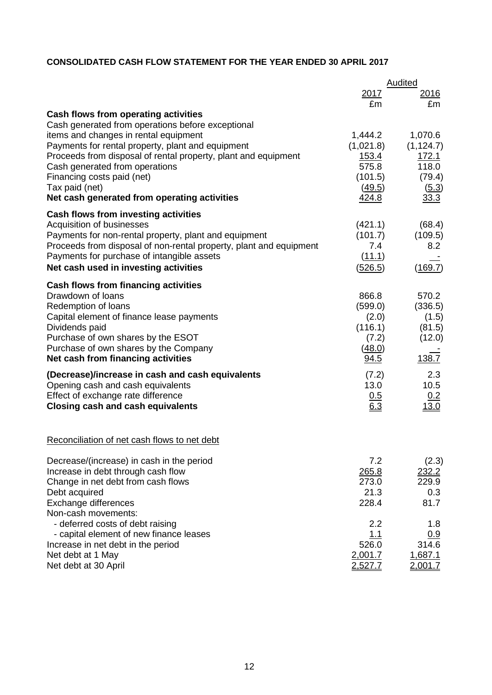# **CONSOLIDATED CASH FLOW STATEMENT FOR THE YEAR ENDED 30 APRIL 2017**

|                                                                    | Audited        |              |  |
|--------------------------------------------------------------------|----------------|--------------|--|
|                                                                    | <u> 2017</u>   | 2016         |  |
|                                                                    | £m             | £m           |  |
| Cash flows from operating activities                               |                |              |  |
| Cash generated from operations before exceptional                  |                |              |  |
| items and changes in rental equipment                              | 1,444.2        | 1,070.6      |  |
| Payments for rental property, plant and equipment                  | (1,021.8)      | (1, 124.7)   |  |
| Proceeds from disposal of rental property, plant and equipment     | <u>153.4</u>   | 172.1        |  |
| Cash generated from operations                                     | 575.8          | 118.0        |  |
| Financing costs paid (net)                                         | (101.5)        | (79.4)       |  |
| Tax paid (net)                                                     | (49.5)         | (5.3)        |  |
| Net cash generated from operating activities                       | 424.8          | 33.3         |  |
| <b>Cash flows from investing activities</b>                        |                |              |  |
| Acquisition of businesses                                          | (421.1)        | (68.4)       |  |
| Payments for non-rental property, plant and equipment              | (101.7)        | (109.5)      |  |
| Proceeds from disposal of non-rental property, plant and equipment | 7.4            | 8.2          |  |
| Payments for purchase of intangible assets                         | (11.1)         |              |  |
| Net cash used in investing activities                              | (526.5)        | (169.7)      |  |
|                                                                    |                |              |  |
| Cash flows from financing activities<br>Drawdown of loans          |                |              |  |
|                                                                    | 866.8          | 570.2        |  |
| Redemption of loans                                                | (599.0)        | (336.5)      |  |
| Capital element of finance lease payments                          | (2.0)          | (1.5)        |  |
| Dividends paid                                                     | (116.1)        | (81.5)       |  |
| Purchase of own shares by the ESOT                                 | (7.2)          | (12.0)       |  |
| Purchase of own shares by the Company                              | (48.0)         | 138.7        |  |
| Net cash from financing activities                                 | 94.5           |              |  |
| (Decrease)/increase in cash and cash equivalents                   | (7.2)          | 2.3          |  |
| Opening cash and cash equivalents                                  | 13.0           | 10.5         |  |
| Effect of exchange rate difference                                 | 0.5            | 0.2          |  |
| <b>Closing cash and cash equivalents</b>                           | 6.3            | <u>13.0</u>  |  |
|                                                                    |                |              |  |
|                                                                    |                |              |  |
| Reconciliation of net cash flows to net debt                       |                |              |  |
| Decrease/(increase) in cash in the period                          | 7.2            | (2.3)        |  |
| Increase in debt through cash flow                                 | 265.8          | <u>232.2</u> |  |
| Change in net debt from cash flows                                 | 273.0          | 229.9        |  |
| Debt acquired                                                      | 21.3           | 0.3          |  |
| Exchange differences                                               | 228.4          | 81.7         |  |
| Non-cash movements:                                                |                |              |  |
| - deferred costs of debt raising                                   | 2.2            | 1.8          |  |
| - capital element of new finance leases                            | 1.1            | 0.9          |  |
| Increase in net debt in the period                                 | 526.0          | 314.6        |  |
| Net debt at 1 May                                                  | 2,001.7        | 1,687.1      |  |
| Net debt at 30 April                                               | <u>2,527.7</u> | 2,001.7      |  |
|                                                                    |                |              |  |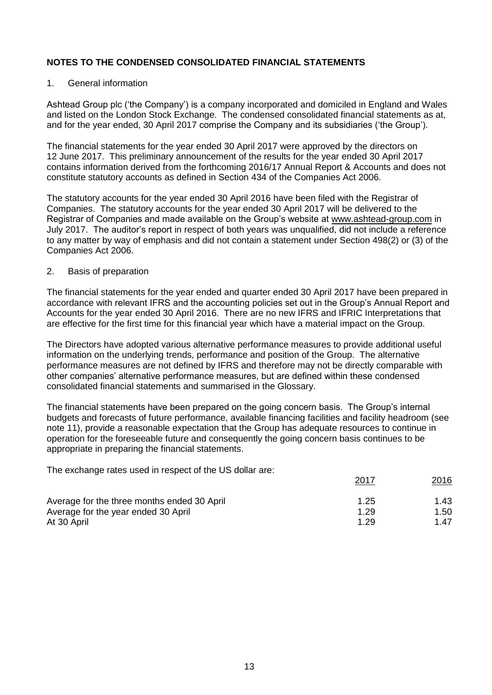## 1. General information

Ashtead Group plc ('the Company') is a company incorporated and domiciled in England and Wales and listed on the London Stock Exchange. The condensed consolidated financial statements as at, and for the year ended, 30 April 2017 comprise the Company and its subsidiaries ('the Group').

The financial statements for the year ended 30 April 2017 were approved by the directors on 12 June 2017. This preliminary announcement of the results for the year ended 30 April 2017 contains information derived from the forthcoming 2016/17 Annual Report & Accounts and does not constitute statutory accounts as defined in Section 434 of the Companies Act 2006.

The statutory accounts for the year ended 30 April 2016 have been filed with the Registrar of Companies. The statutory accounts for the year ended 30 April 2017 will be delivered to the Registrar of Companies and made available on the Group's website at [www.ashtead-group.com](http://www.ashtead-group.com/) in July 2017. The auditor's report in respect of both years was unqualified, did not include a reference to any matter by way of emphasis and did not contain a statement under Section 498(2) or (3) of the Companies Act 2006.

## 2. Basis of preparation

The financial statements for the year ended and quarter ended 30 April 2017 have been prepared in accordance with relevant IFRS and the accounting policies set out in the Group's Annual Report and Accounts for the year ended 30 April 2016. There are no new IFRS and IFRIC Interpretations that are effective for the first time for this financial year which have a material impact on the Group.

The Directors have adopted various alternative performance measures to provide additional useful information on the underlying trends, performance and position of the Group. The alternative performance measures are not defined by IFRS and therefore may not be directly comparable with other companies' alternative performance measures, but are defined within these condensed consolidated financial statements and summarised in the Glossary.

The financial statements have been prepared on the going concern basis. The Group's internal budgets and forecasts of future performance, available financing facilities and facility headroom (see note 11), provide a reasonable expectation that the Group has adequate resources to continue in operation for the foreseeable future and consequently the going concern basis continues to be appropriate in preparing the financial statements.

The exchange rates used in respect of the US dollar are:

|                                             | 2017 | 2016 |
|---------------------------------------------|------|------|
| Average for the three months ended 30 April | 1.25 | 1.43 |
| Average for the year ended 30 April         | 1.29 | 1.50 |
| At 30 April                                 | 1 29 | 1.47 |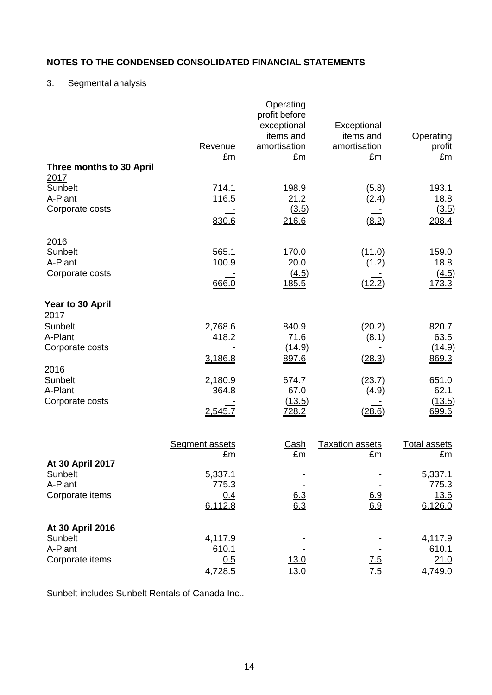# 3. Segmental analysis

| Three months to 30 April                                                                                                           | Revenue<br>£m                                                     | Operating<br>profit before<br>exceptional<br>items and<br>amortisation<br>£m | Exceptional<br>items and<br>amortisation<br>£m         | Operating<br><u>profit</u><br>£m                                     |
|------------------------------------------------------------------------------------------------------------------------------------|-------------------------------------------------------------------|------------------------------------------------------------------------------|--------------------------------------------------------|----------------------------------------------------------------------|
| 2017<br>Sunbelt<br>A-Plant<br>Corporate costs                                                                                      | 714.1<br>116.5<br>830.6                                           | 198.9<br>21.2<br>(3.5)<br>216.6                                              | (5.8)<br>(2.4)<br>(8.2)                                | 193.1<br>18.8<br>(3.5)<br>208.4                                      |
| 2016<br>Sunbelt<br>A-Plant<br>Corporate costs                                                                                      | 565.1<br>100.9<br>666.0                                           | 170.0<br>20.0<br>(4.5)<br>185.5                                              | (11.0)<br>(1.2)<br>(12.2)                              | 159.0<br>18.8<br>(4.5)<br>173.3                                      |
| Year to 30 April<br><u> 2017</u><br>Sunbelt<br>A-Plant<br>Corporate costs<br><u> 2016</u><br>Sunbelt<br>A-Plant<br>Corporate costs | 2,768.6<br>418.2<br>3,186.8<br>2,180.9<br>364.8<br>2,545.7        | 840.9<br>71.6<br>(14.9)<br>897.6<br>674.7<br>67.0<br>(13.5)<br><u>728.2</u>  | (20.2)<br>(8.1)<br>(28.3)<br>(23.7)<br>(4.9)<br>(28.6) | 820.7<br>63.5<br>(14.9)<br>869.3<br>651.0<br>62.1<br>(13.5)<br>699.6 |
| At 30 April 2017<br>Sunbelt<br>A-Plant<br>Corporate items                                                                          | <b>Segment assets</b><br>£m<br>5,337.1<br>775.3<br>0.4<br>6,112.8 | <u>Cash</u><br>£m<br>$\frac{6.3}{6.3}$                                       | <b>Taxation assets</b><br>£m<br>$\frac{6.9}{6.9}$      | <b>Total assets</b><br>£m<br>5,337.1<br>775.3<br>13.6<br>6,126.0     |
| At 30 April 2016<br>Sunbelt<br>A-Plant<br>Corporate items                                                                          | 4,117.9<br>610.1<br>0.5<br>4,728.5                                | <u>13.0</u><br>13.0                                                          | 7.5<br>$\underline{7.5}$                               | 4,117.9<br>610.1<br>21.0<br>4,749.0                                  |

Sunbelt includes Sunbelt Rentals of Canada Inc..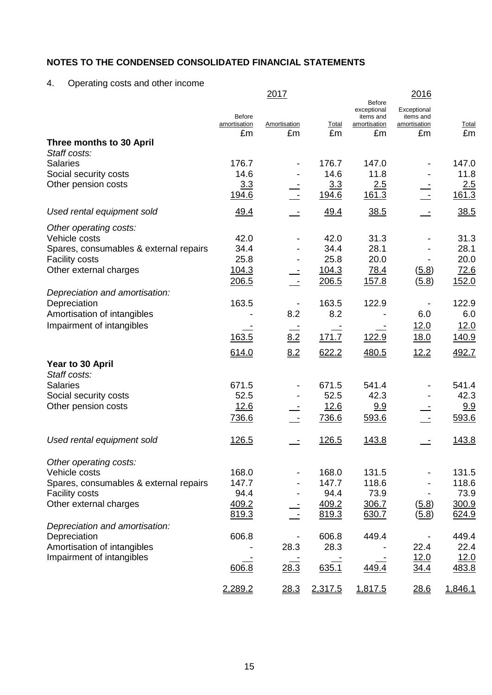4. Operating costs and other income

|                                                |               | 2017                     |         | Before                   | 2016                     |         |
|------------------------------------------------|---------------|--------------------------|---------|--------------------------|--------------------------|---------|
|                                                | <b>Before</b> |                          |         | exceptional<br>items and | Exceptional<br>items and |         |
|                                                | amortisation  | Amortisation             | Total   | amortisation             | amortisation             | Total   |
| Three months to 30 April                       | £m            | £m                       | £m      | £m                       | £m                       | £m      |
| Staff costs:                                   |               |                          |         |                          |                          |         |
| <b>Salaries</b>                                | 176.7         |                          | 176.7   | 147.0                    |                          | 147.0   |
| Social security costs                          | 14.6          |                          | 14.6    | 11.8                     |                          | 11.8    |
| Other pension costs                            | 3.3           |                          | 3.3     | 2.5                      |                          | 2.5     |
|                                                | 194.6         |                          | 194.6   | 161.3                    |                          | 161.3   |
| Used rental equipment sold                     | 49.4          | $\sim$                   | 49.4    | 38.5                     |                          | 38.5    |
| Other operating costs:                         |               |                          |         |                          |                          |         |
| Vehicle costs                                  | 42.0          |                          | 42.0    | 31.3                     |                          | 31.3    |
| Spares, consumables & external repairs         | 34.4          |                          | 34.4    | 28.1                     |                          | 28.1    |
| <b>Facility costs</b>                          | 25.8          |                          | 25.8    | 20.0                     |                          | 20.0    |
| Other external charges                         | 104.3         |                          | 104.3   | 78.4                     | (5.8)                    | 72.6    |
|                                                | 206.5         | $\overline{\phantom{a}}$ | 206.5   | 157.8                    | (5.8)                    | 152.0   |
| Depreciation and amortisation:<br>Depreciation | 163.5         |                          | 163.5   | 122.9                    |                          | 122.9   |
| Amortisation of intangibles                    |               | 8.2                      | 8.2     |                          | 6.0                      | 6.0     |
| Impairment of intangibles                      |               |                          |         |                          | 12.0                     | 12.0    |
|                                                | 163.5         | 8.2                      | 171.7   | 122.9                    | <u>18.0</u>              | 140.9   |
|                                                |               |                          |         |                          |                          |         |
| Year to 30 April                               | 614.0         | 8.2                      | 622.2   | 480.5                    | 12.2                     | 492.7   |
| Staff costs:                                   |               |                          |         |                          |                          |         |
| <b>Salaries</b>                                | 671.5         |                          | 671.5   | 541.4                    |                          | 541.4   |
| Social security costs                          | 52.5          |                          | 52.5    | 42.3                     |                          | 42.3    |
| Other pension costs                            | 12.6          |                          | 12.6    | 9.9                      |                          | 9.9     |
|                                                | 736.6         |                          | 736.6   | 593.6                    |                          | 593.6   |
| Used rental equipment sold                     | <u>126.5</u>  |                          | 126.5   | 143.8                    |                          | 143.8   |
|                                                |               |                          |         |                          |                          |         |
| Other operating costs:                         |               |                          |         |                          |                          |         |
| Vehicle costs                                  | 168.0         |                          | 168.0   | 131.5                    |                          | 131.5   |
| Spares, consumables & external repairs         | 147.7         |                          | 147.7   | 118.6                    |                          | 118.6   |
| <b>Facility costs</b>                          | 94.4          |                          | 94.4    | 73.9                     |                          | 73.9    |
| Other external charges                         | 409.2         |                          | 409.2   | 306.7                    | (5.8)                    | 300.9   |
| Depreciation and amortisation:                 | 819.3         |                          | 819.3   | 630.7                    | (5.8)                    | 624.9   |
| Depreciation                                   | 606.8         |                          | 606.8   | 449.4                    |                          | 449.4   |
| Amortisation of intangibles                    |               | 28.3                     | 28.3    |                          | 22.4                     | 22.4    |
| Impairment of intangibles                      |               |                          |         |                          | 12.0                     | 12.0    |
|                                                | 606.8         | 28.3                     | 635.1   | 449.4                    | <u>34.4</u>              | 483.8   |
|                                                | 2,289.2       | 28.3                     | 2,317.5 | 1,817.5                  | 28.6                     | 1,846.1 |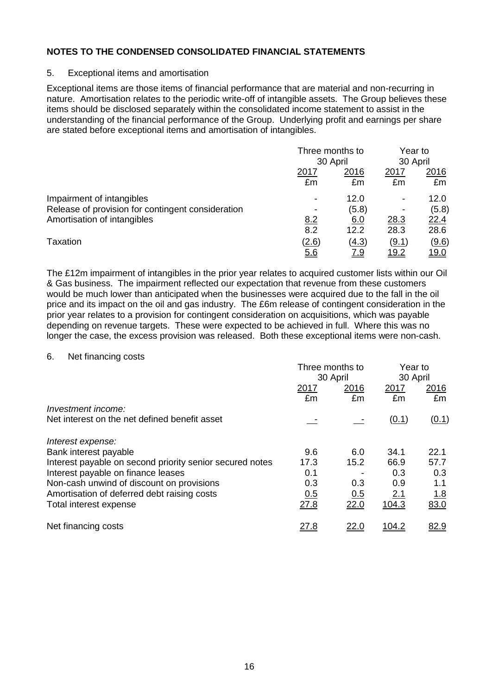#### 5. Exceptional items and amortisation

Exceptional items are those items of financial performance that are material and non-recurring in nature. Amortisation relates to the periodic write-off of intangible assets. The Group believes these items should be disclosed separately within the consolidated income statement to assist in the understanding of the financial performance of the Group. Underlying profit and earnings per share are stated before exceptional items and amortisation of intangibles.

|                                                                                | Three months to<br>30 April |               | Year to<br>30 April |               |
|--------------------------------------------------------------------------------|-----------------------------|---------------|---------------------|---------------|
|                                                                                | <u> 2017</u>                | 2016          | 2017                | 2016          |
|                                                                                | £m                          | £m            | £m                  | £m            |
| Impairment of intangibles<br>Release of provision for contingent consideration |                             | 12.0<br>(5.8) | ۰                   | 12.0<br>(5.8) |
| Amortisation of intangibles                                                    | 8.2                         | 6.0           | 28.3                | <u>22.4</u>   |
|                                                                                | 8.2                         | 12.2          | 28.3                | 28.6          |
| Taxation                                                                       | (2.6)                       | (4.3)         | (9.1)               | <u>(9.6)</u>  |
|                                                                                | 5.6                         | <u>7.9</u>    | <u> 19.2</u>        | <u> 19.0</u>  |

The £12m impairment of intangibles in the prior year relates to acquired customer lists within our Oil & Gas business. The impairment reflected our expectation that revenue from these customers would be much lower than anticipated when the businesses were acquired due to the fall in the oil price and its impact on the oil and gas industry. The £6m release of contingent consideration in the prior year relates to a provision for contingent consideration on acquisitions, which was payable depending on revenue targets. These were expected to be achieved in full. Where this was no longer the case, the excess provision was released. Both these exceptional items were non-cash.

6. Net financing costs

|                                                          | Three months to<br>30 April |              | Year to<br>30 April |                    |
|----------------------------------------------------------|-----------------------------|--------------|---------------------|--------------------|
|                                                          | <u> 2017</u><br>£m          | 2016<br>£m   | <u>2017</u><br>£m   | <u> 2016</u><br>£m |
| Investment income:                                       |                             |              |                     |                    |
| Net interest on the net defined benefit asset            |                             |              | (0.1)               | (0.1)              |
| Interest expense:                                        |                             |              |                     |                    |
| Bank interest payable                                    | 9.6                         | 6.0          | 34.1                | 22.1               |
| Interest payable on second priority senior secured notes | 17.3                        | 15.2         | 66.9                | 57.7               |
| Interest payable on finance leases                       | 0.1                         |              | 0.3                 | 0.3                |
| Non-cash unwind of discount on provisions                | 0.3                         | 0.3          | 0.9                 | 1.1                |
| Amortisation of deferred debt raising costs              | 0.5                         | 0.5          | 2.1                 | <u>1.8</u>         |
| Total interest expense                                   | 27.8                        | 22.0         | 104.3               | 83.0               |
| Net financing costs                                      | <u>27.8</u>                 | <u> 22.0</u> |                     | 82.9               |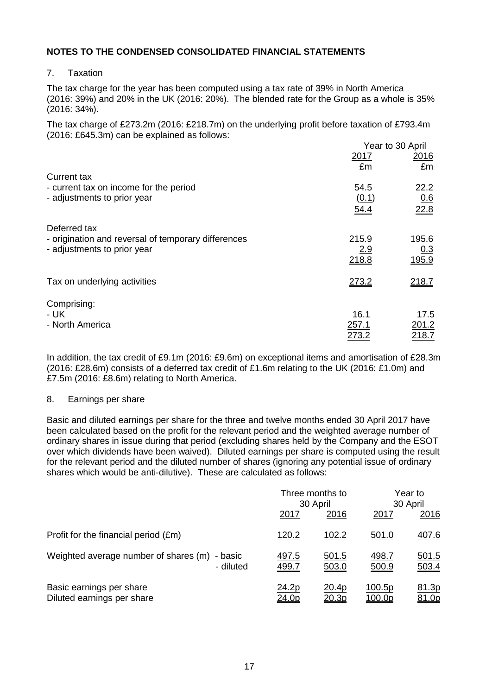7. Taxation

The tax charge for the year has been computed using a tax rate of 39% in North America (2016: 39%) and 20% in the UK (2016: 20%). The blended rate for the Group as a whole is 35% (2016: 34%).

The tax charge of £273.2m (2016: £218.7m) on the underlying profit before taxation of £793.4m (2016: £645.3m) can be explained as follows:

|                                                     |            | Year to 30 April |
|-----------------------------------------------------|------------|------------------|
|                                                     | 2017<br>£m | 2016<br>£m       |
| <b>Current tax</b>                                  |            |                  |
| - current tax on income for the period              | 54.5       | 22.2             |
| - adjustments to prior year                         | (0.1)      | 0.6              |
|                                                     | 54.4       | 22.8             |
| Deferred tax                                        |            |                  |
| - origination and reversal of temporary differences | 215.9      | 195.6            |
| - adjustments to prior year                         | 2.9        | 0.3              |
|                                                     | 218.8      | 195.9            |
| Tax on underlying activities                        | 273.2      | 218.7            |
|                                                     |            |                  |
| Comprising:                                         |            |                  |
| - UK                                                | 16.1       | 17.5             |
| - North America                                     | 257.1      | 201.2            |
|                                                     | 273.2      | 218.Z            |

In addition, the tax credit of £9.1m (2016: £9.6m) on exceptional items and amortisation of £28.3m (2016: £28.6m) consists of a deferred tax credit of £1.6m relating to the UK (2016: £1.0m) and £7.5m (2016: £8.6m) relating to North America.

#### 8. Earnings per share

Basic and diluted earnings per share for the three and twelve months ended 30 April 2017 have been calculated based on the profit for the relevant period and the weighted average number of ordinary shares in issue during that period (excluding shares held by the Company and the ESOT over which dividends have been waived). Diluted earnings per share is computed using the result for the relevant period and the diluted number of shares (ignoring any potential issue of ordinary shares which would be anti-dilutive). These are calculated as follows:

|                                                            |                       | Three months to<br>30 April |                         | Year to<br>30 April   |  |
|------------------------------------------------------------|-----------------------|-----------------------------|-------------------------|-----------------------|--|
|                                                            | <u>2017</u>           | 2016                        | 2017                    | 2016                  |  |
| Profit for the financial period (£m)                       | 120.2                 | 102.2                       | 501.0                   | 407.6                 |  |
| Weighted average number of shares (m) - basic<br>- diluted | <u>497.5</u><br>499.7 | 501.5<br>503.0              | <u>498.7</u><br>500.9   | 501.5<br>503.4        |  |
| Basic earnings per share<br>Diluted earnings per share     | 24.2p<br><u>24.0p</u> | 20.4p<br>20.3p              | <u>100.5p</u><br>100.0p | 81.3p<br><u>81.0p</u> |  |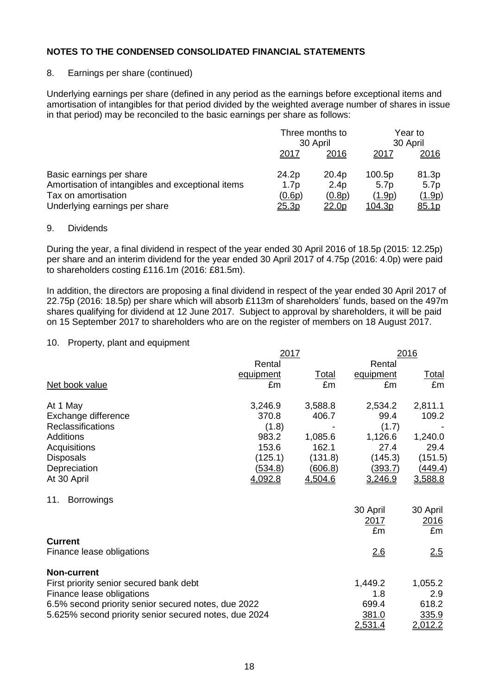#### 8. Earnings per share (continued)

Underlying earnings per share (defined in any period as the earnings before exceptional items and amortisation of intangibles for that period divided by the weighted average number of shares in issue in that period) may be reconciled to the basic earnings per share as follows:

|                                                                                                                                       | Three months to<br>30 April                  |                                         | Year to<br>30 April                       |                                  |
|---------------------------------------------------------------------------------------------------------------------------------------|----------------------------------------------|-----------------------------------------|-------------------------------------------|----------------------------------|
|                                                                                                                                       | 2017                                         | 2016                                    | 2017                                      | 2016                             |
| Basic earnings per share<br>Amortisation of intangibles and exceptional items<br>Tax on amortisation<br>Underlying earnings per share | 24.2p<br>1.7 <sub>p</sub><br>(0.6p)<br>25.3p | 20.4p<br>2.4p<br>(0.8p)<br><u>22.0p</u> | 100.5p<br>5.7p<br>(1.9p)<br><u>104.3p</u> | 81.3p<br>5.7p<br>(1.9p)<br>85.1p |

#### 9. Dividends

During the year, a final dividend in respect of the year ended 30 April 2016 of 18.5p (2015: 12.25p) per share and an interim dividend for the year ended 30 April 2017 of 4.75p (2016: 4.0p) were paid to shareholders costing £116.1m (2016: £81.5m).

In addition, the directors are proposing a final dividend in respect of the year ended 30 April 2017 of 22.75p (2016: 18.5p) per share which will absorb £113m of shareholders' funds, based on the 497m shares qualifying for dividend at 12 June 2017. Subject to approval by shareholders, it will be paid on 15 September 2017 to shareholders who are on the register of members on 18 August 2017.

#### 10. Property, plant and equipment

|                                                       | 2017           |              |             | 2016           |
|-------------------------------------------------------|----------------|--------------|-------------|----------------|
|                                                       | Rental         |              | Rental      |                |
|                                                       | equipment      | <u>Total</u> | equipment   | <u>Total</u>   |
| Net book value                                        | £m             | £m           | £m          | £m             |
| At 1 May                                              | 3,246.9        | 3,588.8      | 2,534.2     | 2,811.1        |
| Exchange difference                                   | 370.8          | 406.7        | 99.4        | 109.2          |
| <b>Reclassifications</b>                              | (1.8)          |              | (1.7)       |                |
| Additions                                             | 983.2          | 1,085.6      | 1,126.6     | 1,240.0        |
| Acquisitions                                          | 153.6          | 162.1        | 27.4        | 29.4           |
| <b>Disposals</b>                                      | (125.1)        | (131.8)      | (145.3)     | (151.5)        |
| Depreciation                                          | <u>(534.8)</u> | (606.8)      | (393.7)     | (449.4)        |
| At 30 April                                           | 4,092.8        | 4,504.6      | 3,246.9     | 3,588.8        |
| <b>Borrowings</b><br>11.                              |                |              |             |                |
|                                                       |                |              | 30 April    | 30 April       |
|                                                       |                |              | <u>2017</u> | 2016           |
|                                                       |                |              | £m          | £m             |
| <b>Current</b>                                        |                |              |             |                |
| Finance lease obligations                             |                |              | 2.6         | 2.5            |
| <b>Non-current</b>                                    |                |              |             |                |
| First priority senior secured bank debt               |                |              | 1,449.2     | 1,055.2        |
| Finance lease obligations                             |                |              | 1.8         | 2.9            |
| 6.5% second priority senior secured notes, due 2022   |                |              | 699.4       | 618.2          |
| 5.625% second priority senior secured notes, due 2024 |                |              | 381.0       | 335.9          |
|                                                       |                |              | 2,531.4     | <u>2.012.2</u> |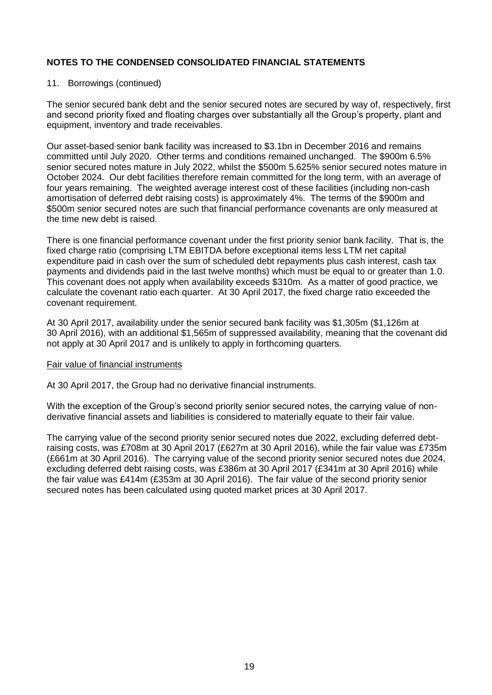## 11. Borrowings (continued)

The senior secured bank debt and the senior secured notes are secured by way of, respectively, first and second priority fixed and floating charges over substantially all the Group's property, plant and equipment, inventory and trade receivables.

Our asset-based senior bank facility was increased to \$3.1bn in December 2016 and remains committed until July 2020. Other terms and conditions remained unchanged. The \$900m 6.5% senior secured notes mature in July 2022, whilst the \$500m 5.625% senior secured notes mature in October 2024. Our debt facilities therefore remain committed for the long term, with an average of four years remaining. The weighted average interest cost of these facilities (including non-cash amortisation of deferred debt raising costs) is approximately 4%. The terms of the \$900m and \$500m senior secured notes are such that financial performance covenants are only measured at the time new debt is raised.

There is one financial performance covenant under the first priority senior bank facility. That is, the fixed charge ratio (comprising LTM EBITDA before exceptional items less LTM net capital expenditure paid in cash over the sum of scheduled debt repayments plus cash interest, cash tax payments and dividends paid in the last twelve months) which must be equal to or greater than 1.0. This covenant does not apply when availability exceeds \$310m. As a matter of good practice, we calculate the covenant ratio each quarter. At 30 April 2017, the fixed charge ratio exceeded the covenant requirement.

At 30 April 2017, availability under the senior secured bank facility was \$1,305m (\$1,126m at 30 April 2016), with an additional \$1,565m of suppressed availability, meaning that the covenant did not apply at 30 April 2017 and is unlikely to apply in forthcoming quarters.

## Fair value of financial instruments

At 30 April 2017, the Group had no derivative financial instruments.

With the exception of the Group's second priority senior secured notes, the carrying value of nonderivative financial assets and liabilities is considered to materially equate to their fair value.

The carrying value of the second priority senior secured notes due 2022, excluding deferred debtraising costs, was £708m at 30 April 2017 (£627m at 30 April 2016), while the fair value was £735m (£661m at 30 April 2016). The carrying value of the second priority senior secured notes due 2024, excluding deferred debt raising costs, was £386m at 30 April 2017 (£341m at 30 April 2016) while the fair value was £414m (£353m at 30 April 2016). The fair value of the second priority senior secured notes has been calculated using quoted market prices at 30 April 2017.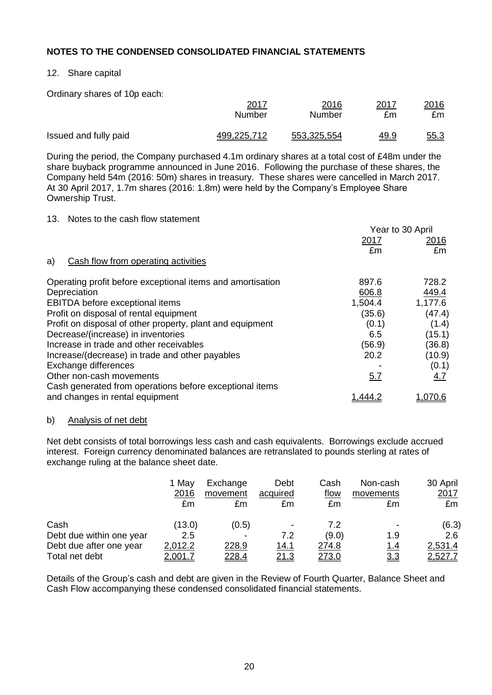## 12. Share capital

Ordinary shares of 10p each:

|                       | 2017          | 2016        | 2017        | <u> 2016</u> |
|-----------------------|---------------|-------------|-------------|--------------|
|                       | <b>Number</b> | Number      | £m          | £m           |
| Issued and fully paid | 499,225,712   | 553,325,554 | <u>49.9</u> | <u>55.3</u>  |

During the period, the Company purchased 4.1m ordinary shares at a total cost of £48m under the share buyback programme announced in June 2016. Following the purchase of these shares, the Company held 54m (2016: 50m) shares in treasury. These shares were cancelled in March 2017. At 30 April 2017, 1.7m shares (2016: 1.8m) were held by the Company's Employee Share Ownership Trust.

#### 13. Notes to the cash flow statement

|                                                            |         | Year to 30 April |
|------------------------------------------------------------|---------|------------------|
|                                                            | 2017    | 2016             |
|                                                            | £m      | £m               |
| Cash flow from operating activities<br>a)                  |         |                  |
| Operating profit before exceptional items and amortisation | 897.6   | 728.2            |
| Depreciation                                               | 606.8   | 449.4            |
| EBITDA before exceptional items                            | 1,504.4 | 1,177.6          |
| Profit on disposal of rental equipment                     | (35.6)  | (47.4)           |
| Profit on disposal of other property, plant and equipment  | (0.1)   | (1.4)            |
| Decrease/(increase) in inventories                         | 6.5     | (15.1)           |
| Increase in trade and other receivables                    | (56.9)  | (36.8)           |
| Increase/(decrease) in trade and other payables            | 20.2    | (10.9)           |
| Exchange differences                                       |         | (0.1)            |
| Other non-cash movements                                   | 5.7     | 4.7              |
| Cash generated from operations before exceptional items    |         |                  |
| and changes in rental equipment                            | نـ444.  | 1. <u>070.6</u>  |

#### b) Analysis of net debt

Net debt consists of total borrowings less cash and cash equivalents. Borrowings exclude accrued interest. Foreign currency denominated balances are retranslated to pounds sterling at rates of exchange ruling at the balance sheet date.

|                          | 1 May          | Exchange     | Debt                     | Cash          | Non-cash   | 30 April       |
|--------------------------|----------------|--------------|--------------------------|---------------|------------|----------------|
|                          | 2016           | movement     | acquired                 | flow          | movements  | 2017           |
|                          | £m             | £m           | £m                       | £m            | £m         | £m             |
| Cash                     | (13.0)         | (0.5)        | $\overline{\phantom{a}}$ | 7.2           |            | (6.3)          |
| Debt due within one year | 2.5            |              | 7.2                      | (9.0)         | 1.9        | 2.6            |
| Debt due after one year  | 2,012.2        | 228.9        | 14.1                     | 274.8         | <u>1.4</u> | 2,531.4        |
| Total net debt           | <u>2,001.7</u> | <u>228.4</u> | <u>21.3</u>              | <u> 273.0</u> | <u>3.3</u> | <u>2,527.7</u> |

Details of the Group's cash and debt are given in the Review of Fourth Quarter, Balance Sheet and Cash Flow accompanying these condensed consolidated financial statements.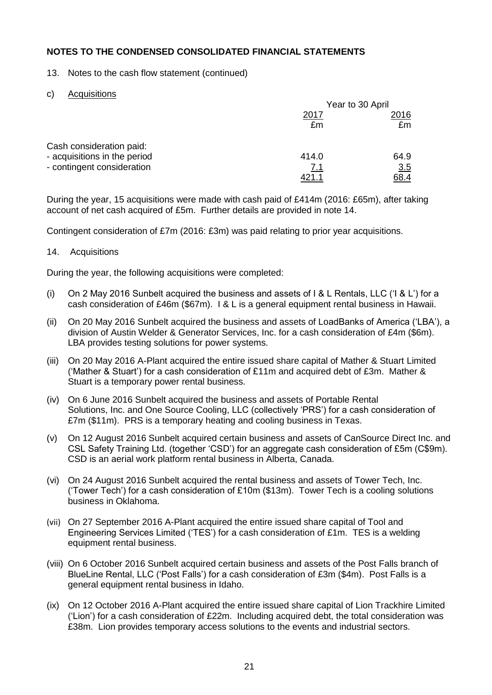- 13. Notes to the cash flow statement (continued)
- c) Acquisitions

|                              | Year to 30 April |      |  |
|------------------------------|------------------|------|--|
|                              | 2017             | 2016 |  |
|                              | £m               | £m   |  |
| Cash consideration paid:     |                  |      |  |
| - acquisitions in the period | 414.0            | 64.9 |  |
| - contingent consideration   | <u>7.1</u>       | 3.5  |  |
|                              |                  | 68.4 |  |

During the year, 15 acquisitions were made with cash paid of £414m (2016: £65m), after taking account of net cash acquired of £5m. Further details are provided in note 14.

Contingent consideration of £7m (2016: £3m) was paid relating to prior year acquisitions.

## 14. Acquisitions

During the year, the following acquisitions were completed:

- (i) On 2 May 2016 Sunbelt acquired the business and assets of I & L Rentals, LLC ('I & L') for a cash consideration of £46m (\$67m). I & L is a general equipment rental business in Hawaii.
- (ii) On 20 May 2016 Sunbelt acquired the business and assets of LoadBanks of America ('LBA'), a division of Austin Welder & Generator Services, Inc. for a cash consideration of £4m (\$6m). LBA provides testing solutions for power systems.
- (iii) On 20 May 2016 A-Plant acquired the entire issued share capital of Mather & Stuart Limited ('Mather & Stuart') for a cash consideration of £11m and acquired debt of £3m. Mather & Stuart is a temporary power rental business.
- (iv) On 6 June 2016 Sunbelt acquired the business and assets of Portable Rental Solutions, Inc. and One Source Cooling, LLC (collectively 'PRS') for a cash consideration of £7m (\$11m). PRS is a temporary heating and cooling business in Texas.
- (v) On 12 August 2016 Sunbelt acquired certain business and assets of CanSource Direct Inc. and CSL Safety Training Ltd. (together 'CSD') for an aggregate cash consideration of £5m (C\$9m). CSD is an aerial work platform rental business in Alberta, Canada.
- (vi) On 24 August 2016 Sunbelt acquired the rental business and assets of Tower Tech, Inc. ('Tower Tech') for a cash consideration of £10m (\$13m). Tower Tech is a cooling solutions business in Oklahoma.
- (vii) On 27 September 2016 A-Plant acquired the entire issued share capital of Tool and Engineering Services Limited ('TES') for a cash consideration of £1m. TES is a welding equipment rental business.
- (viii) On 6 October 2016 Sunbelt acquired certain business and assets of the Post Falls branch of BlueLine Rental, LLC ('Post Falls') for a cash consideration of £3m (\$4m). Post Falls is a general equipment rental business in Idaho.
- (ix) On 12 October 2016 A-Plant acquired the entire issued share capital of Lion Trackhire Limited ('Lion') for a cash consideration of £22m. Including acquired debt, the total consideration was £38m. Lion provides temporary access solutions to the events and industrial sectors.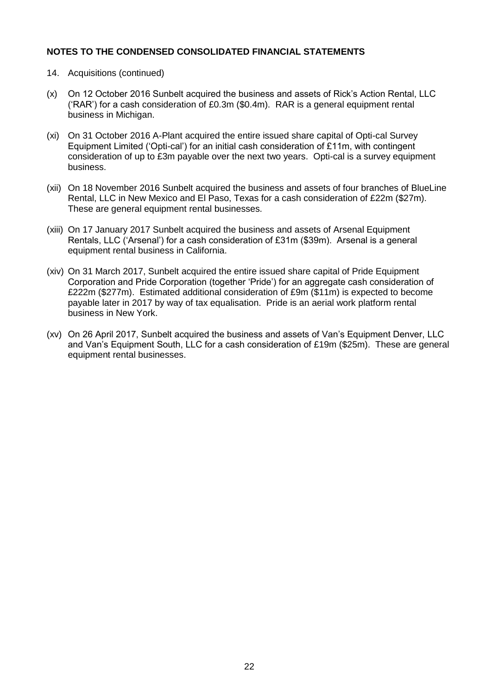- 14. Acquisitions (continued)
- (x) On 12 October 2016 Sunbelt acquired the business and assets of Rick's Action Rental, LLC ('RAR') for a cash consideration of £0.3m (\$0.4m). RAR is a general equipment rental business in Michigan.
- (xi) On 31 October 2016 A-Plant acquired the entire issued share capital of Opti-cal Survey Equipment Limited ('Opti-cal') for an initial cash consideration of £11m, with contingent consideration of up to £3m payable over the next two years. Opti-cal is a survey equipment business.
- (xii) On 18 November 2016 Sunbelt acquired the business and assets of four branches of BlueLine Rental, LLC in New Mexico and El Paso, Texas for a cash consideration of £22m (\$27m). These are general equipment rental businesses.
- (xiii) On 17 January 2017 Sunbelt acquired the business and assets of Arsenal Equipment Rentals, LLC ('Arsenal') for a cash consideration of £31m (\$39m). Arsenal is a general equipment rental business in California.
- (xiv) On 31 March 2017, Sunbelt acquired the entire issued share capital of Pride Equipment Corporation and Pride Corporation (together 'Pride') for an aggregate cash consideration of £222m (\$277m). Estimated additional consideration of £9m (\$11m) is expected to become payable later in 2017 by way of tax equalisation. Pride is an aerial work platform rental business in New York.
- (xv) On 26 April 2017, Sunbelt acquired the business and assets of Van's Equipment Denver, LLC and Van's Equipment South, LLC for a cash consideration of £19m (\$25m). These are general equipment rental businesses.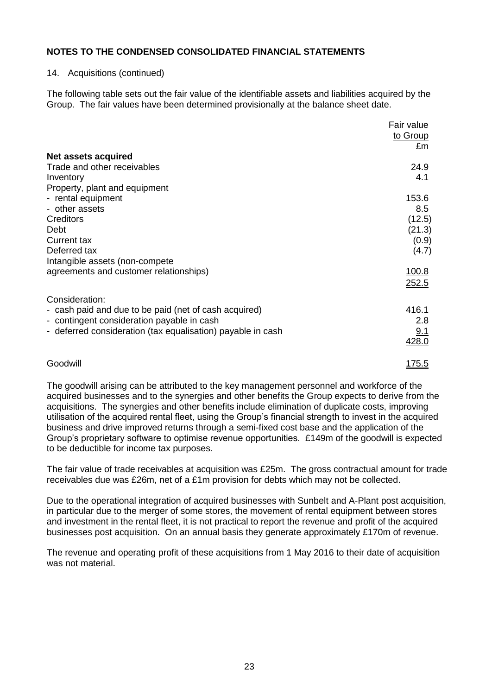#### 14. Acquisitions (continued)

The following table sets out the fair value of the identifiable assets and liabilities acquired by the Group. The fair values have been determined provisionally at the balance sheet date.

|                                                             | Fair value<br>to Group<br>£m |
|-------------------------------------------------------------|------------------------------|
| Net assets acquired                                         |                              |
| Trade and other receivables                                 | 24.9                         |
| Inventory                                                   | 4.1                          |
| Property, plant and equipment                               |                              |
| - rental equipment                                          | 153.6                        |
| - other assets                                              | 8.5                          |
| Creditors                                                   | (12.5)                       |
| Debt                                                        | (21.3)                       |
| Current tax                                                 | (0.9)                        |
| Deferred tax                                                | (4.7)                        |
| Intangible assets (non-compete                              |                              |
| agreements and customer relationships)                      | <u>100.8</u>                 |
|                                                             | 252.5                        |
| Consideration:                                              |                              |
| - cash paid and due to be paid (net of cash acquired)       | 416.1                        |
| - contingent consideration payable in cash                  | 2.8                          |
| - deferred consideration (tax equalisation) payable in cash | 9.1                          |
|                                                             | 428.0                        |
| Goodwill                                                    | <u> 175.5</u>                |

The goodwill arising can be attributed to the key management personnel and workforce of the acquired businesses and to the synergies and other benefits the Group expects to derive from the acquisitions. The synergies and other benefits include elimination of duplicate costs, improving utilisation of the acquired rental fleet, using the Group's financial strength to invest in the acquired business and drive improved returns through a semi-fixed cost base and the application of the Group's proprietary software to optimise revenue opportunities. £149m of the goodwill is expected to be deductible for income tax purposes.

The fair value of trade receivables at acquisition was £25m. The gross contractual amount for trade receivables due was £26m, net of a £1m provision for debts which may not be collected.

Due to the operational integration of acquired businesses with Sunbelt and A-Plant post acquisition, in particular due to the merger of some stores, the movement of rental equipment between stores and investment in the rental fleet, it is not practical to report the revenue and profit of the acquired businesses post acquisition. On an annual basis they generate approximately £170m of revenue.

The revenue and operating profit of these acquisitions from 1 May 2016 to their date of acquisition was not material.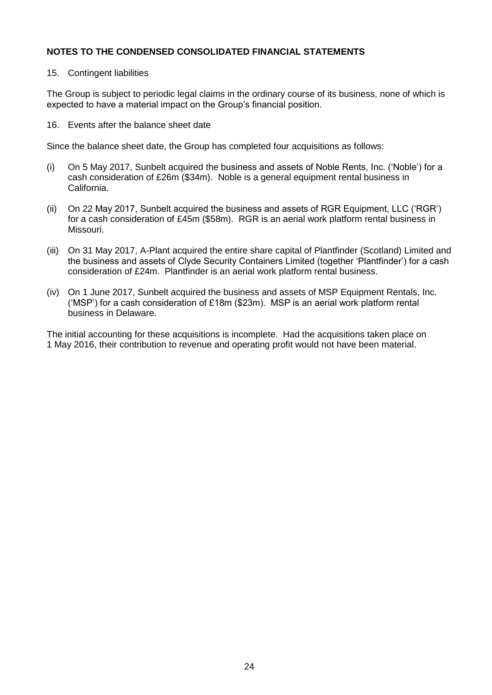#### 15. Contingent liabilities

The Group is subject to periodic legal claims in the ordinary course of its business, none of which is expected to have a material impact on the Group's financial position.

16. Events after the balance sheet date

Since the balance sheet date, the Group has completed four acquisitions as follows:

- (i) On 5 May 2017, Sunbelt acquired the business and assets of Noble Rents, Inc. ('Noble') for a cash consideration of £26m (\$34m). Noble is a general equipment rental business in California.
- (ii) On 22 May 2017, Sunbelt acquired the business and assets of RGR Equipment, LLC ('RGR') for a cash consideration of £45m (\$58m). RGR is an aerial work platform rental business in Missouri.
- (iii) On 31 May 2017, A-Plant acquired the entire share capital of Plantfinder (Scotland) Limited and the business and assets of Clyde Security Containers Limited (together 'Plantfinder') for a cash consideration of £24m. Plantfinder is an aerial work platform rental business.
- (iv) On 1 June 2017, Sunbelt acquired the business and assets of MSP Equipment Rentals, Inc. ('MSP') for a cash consideration of £18m (\$23m). MSP is an aerial work platform rental business in Delaware.

The initial accounting for these acquisitions is incomplete. Had the acquisitions taken place on 1 May 2016, their contribution to revenue and operating profit would not have been material.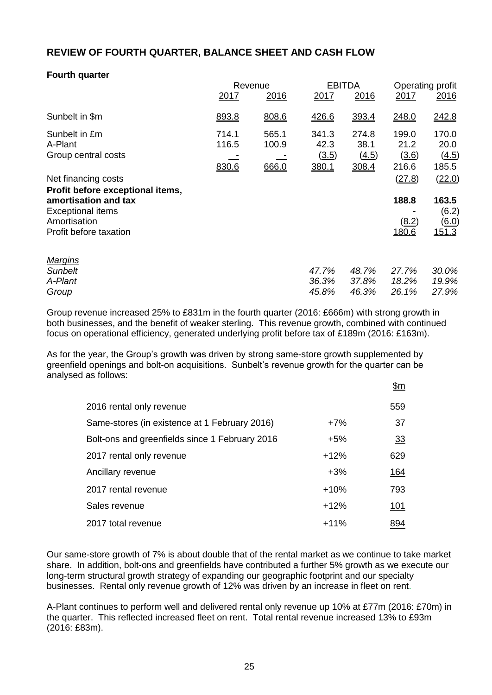# **REVIEW OF FOURTH QUARTER, BALANCE SHEET AND CASH FLOW**

# **Fourth quarter**

|                                                                                            | Revenue                 |                         | <b>EBITDA</b>                   |                                 | Operating profit                |                                                       |
|--------------------------------------------------------------------------------------------|-------------------------|-------------------------|---------------------------------|---------------------------------|---------------------------------|-------------------------------------------------------|
|                                                                                            | 2017                    | 2016                    | 2017                            | 2016                            | 2017                            | 2016                                                  |
| Sunbelt in \$m                                                                             | 893.8                   | 808.6                   | 426.6                           | 393.4                           | 248.0                           | 242.8                                                 |
| Sunbelt in £m<br>A-Plant<br>Group central costs                                            | 714.1<br>116.5<br>830.6 | 565.1<br>100.9<br>666.0 | 341.3<br>42.3<br>(3.5)<br>380.1 | 274.8<br>38.1<br>(4.5)<br>308.4 | 199.0<br>21.2<br>(3.6)<br>216.6 | 170.0<br>20.0<br>(4.5)<br>185.5                       |
| Net financing costs<br>Profit before exceptional items,                                    |                         |                         |                                 |                                 | (27.8)                          | (22.0)                                                |
| amortisation and tax<br><b>Exceptional items</b><br>Amortisation<br>Profit before taxation |                         |                         |                                 |                                 | 188.8<br>(8.2)<br>180.6         | 163.5<br>(6.2)<br>$\underline{(6.0)}$<br><u>151.3</u> |
| <b>Margins</b><br><b>Sunbelt</b><br>A-Plant<br>Group                                       |                         |                         | 47.7%<br>36.3%<br>45.8%         | 48.7%<br>37.8%<br>46.3%         | 27.7%<br>18.2%<br>26.1%         | 30.0%<br>19.9%<br>27.9%                               |

Group revenue increased 25% to £831m in the fourth quarter (2016: £666m) with strong growth in both businesses, and the benefit of weaker sterling. This revenue growth, combined with continued focus on operational efficiency, generated underlying profit before tax of £189m (2016: £163m).

As for the year, the Group's growth was driven by strong same-store growth supplemented by greenfield openings and bolt-on acquisitions. Sunbelt's revenue growth for the quarter can be analysed as follows:

|                                                |        | <u>\$m</u>  |
|------------------------------------------------|--------|-------------|
| 2016 rental only revenue                       |        | 559         |
| Same-stores (in existence at 1 February 2016)  | $+7%$  | 37          |
| Bolt-ons and greenfields since 1 February 2016 | $+5%$  | 33          |
| 2017 rental only revenue                       | $+12%$ | 629         |
| Ancillary revenue                              | $+3%$  | <u> 164</u> |
| 2017 rental revenue                            | $+10%$ | 793         |
| Sales revenue                                  | $+12%$ | <u> 101</u> |
| 2017 total revenue                             | $+11%$ | 894         |

Our same-store growth of 7% is about double that of the rental market as we continue to take market share. In addition, bolt-ons and greenfields have contributed a further 5% growth as we execute our long-term structural growth strategy of expanding our geographic footprint and our specialty businesses. Rental only revenue growth of 12% was driven by an increase in fleet on rent.

A-Plant continues to perform well and delivered rental only revenue up 10% at £77m (2016: £70m) in the quarter. This reflected increased fleet on rent. Total rental revenue increased 13% to £93m (2016: £83m).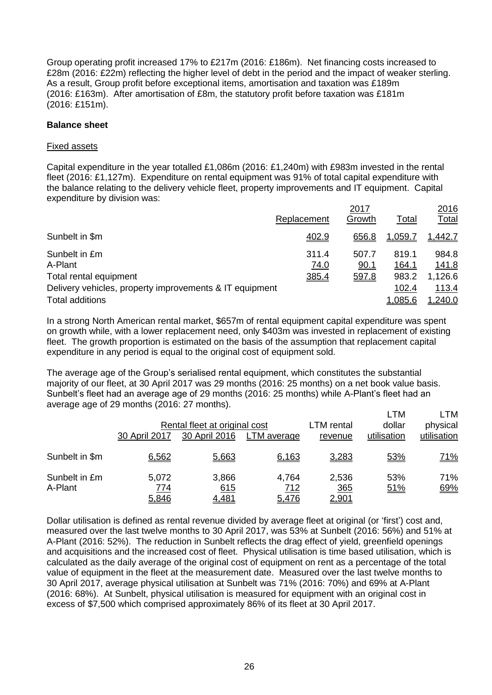Group operating profit increased 17% to £217m (2016: £186m). Net financing costs increased to £28m (2016: £22m) reflecting the higher level of debt in the period and the impact of weaker sterling. As a result, Group profit before exceptional items, amortisation and taxation was £189m (2016: £163m). After amortisation of £8m, the statutory profit before taxation was £181m (2016: £151m).

#### **Balance sheet**

#### Fixed assets

Capital expenditure in the year totalled £1,086m (2016: £1,240m) with £983m invested in the rental fleet (2016: £1,127m). Expenditure on rental equipment was 91% of total capital expenditure with the balance relating to the delivery vehicle fleet, property improvements and IT equipment. Capital expenditure by division was:

|                                                         | Replacement | 2017<br>Growth | Total   | 2016<br>Total |
|---------------------------------------------------------|-------------|----------------|---------|---------------|
|                                                         |             |                |         |               |
| Sunbelt in \$m                                          | 402.9       | 656.8          | 1,059.7 | 1,442.7       |
| Sunbelt in £m                                           | 311.4       | 507.7          | 819.1   | 984.8         |
| A-Plant                                                 | 74.0        | 90.1           | 164.1   | 141.8         |
| Total rental equipment                                  | 385.4       | 597.8          | 983.2   | 1,126.6       |
| Delivery vehicles, property improvements & IT equipment |             |                | 102.4   | 113.4         |
| <b>Total additions</b>                                  |             |                | 1,085.6 | 1,240.0       |

In a strong North American rental market, \$657m of rental equipment capital expenditure was spent on growth while, with a lower replacement need, only \$403m was invested in replacement of existing fleet. The growth proportion is estimated on the basis of the assumption that replacement capital expenditure in any period is equal to the original cost of equipment sold.

The average age of the Group's serialised rental equipment, which constitutes the substantial majority of our fleet, at 30 April 2017 was 29 months (2016: 25 months) on a net book value basis. Sunbelt's fleet had an average age of 29 months (2016: 25 months) while A-Plant's fleet had an average age of 29 months (2016: 27 months).

|                          | 30 April 2017         | Rental fleet at original cost<br>30 April 2016 | LTM average           | LTM rental<br>revenue        | <b>LTM</b><br>dollar<br>utilisation | LTM<br>physical<br>utilisation |
|--------------------------|-----------------------|------------------------------------------------|-----------------------|------------------------------|-------------------------------------|--------------------------------|
| Sunbelt in \$m           | 6,562                 | 5,663                                          | 6,163                 | 3,283                        | 53%                                 | <u>71%</u>                     |
| Sunbelt in £m<br>A-Plant | 5,072<br>774<br>5,846 | 3,866<br>615<br>4,481                          | 4,764<br>712<br>5,476 | 2,536<br>365<br><u>2,901</u> | 53%<br>51%                          | 71%<br>69%                     |

Dollar utilisation is defined as rental revenue divided by average fleet at original (or 'first') cost and, measured over the last twelve months to 30 April 2017, was 53% at Sunbelt (2016: 56%) and 51% at A-Plant (2016: 52%). The reduction in Sunbelt reflects the drag effect of yield, greenfield openings and acquisitions and the increased cost of fleet. Physical utilisation is time based utilisation, which is calculated as the daily average of the original cost of equipment on rent as a percentage of the total value of equipment in the fleet at the measurement date. Measured over the last twelve months to 30 April 2017, average physical utilisation at Sunbelt was 71% (2016: 70%) and 69% at A-Plant (2016: 68%). At Sunbelt, physical utilisation is measured for equipment with an original cost in excess of \$7,500 which comprised approximately 86% of its fleet at 30 April 2017.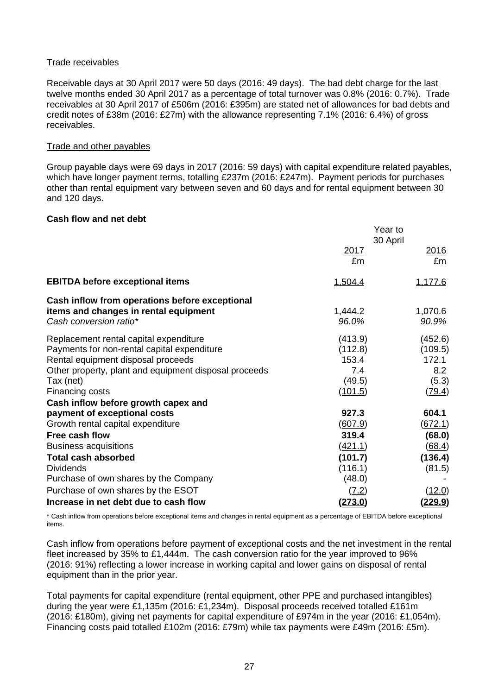#### Trade receivables

Receivable days at 30 April 2017 were 50 days (2016: 49 days). The bad debt charge for the last twelve months ended 30 April 2017 as a percentage of total turnover was 0.8% (2016: 0.7%). Trade receivables at 30 April 2017 of £506m (2016: £395m) are stated net of allowances for bad debts and credit notes of £38m (2016: £27m) with the allowance representing 7.1% (2016: 6.4%) of gross receivables.

#### Trade and other payables

Group payable days were 69 days in 2017 (2016: 59 days) with capital expenditure related payables, which have longer payment terms, totalling £237m (2016: £247m). Payment periods for purchases other than rental equipment vary between seven and 60 days and for rental equipment between 30 and 120 days.

#### **Cash flow and net debt**

|                                                                                                                                                                                                                      |                                                         | Year to<br>30 April                                   |
|----------------------------------------------------------------------------------------------------------------------------------------------------------------------------------------------------------------------|---------------------------------------------------------|-------------------------------------------------------|
|                                                                                                                                                                                                                      | <u>2017</u><br>£m                                       | 2016<br>£m                                            |
| <b>EBITDA before exceptional items</b>                                                                                                                                                                               | 1,504.4                                                 | <u>1,177.6</u>                                        |
| Cash inflow from operations before exceptional<br>items and changes in rental equipment<br>Cash conversion ratio*                                                                                                    | 1,444.2<br>96.0%                                        | 1,070.6<br>90.9%                                      |
| Replacement rental capital expenditure<br>Payments for non-rental capital expenditure<br>Rental equipment disposal proceeds<br>Other property, plant and equipment disposal proceeds<br>Tax (net)<br>Financing costs | (413.9)<br>(112.8)<br>153.4<br>7.4<br>(49.5)<br>(101.5) | (452.6)<br>(109.5)<br>172.1<br>8.2<br>(5.3)<br>(79.4) |
| Cash inflow before growth capex and<br>payment of exceptional costs<br>Growth rental capital expenditure                                                                                                             | 927.3<br><u>(607.9)</u>                                 | 604.1<br>(672.1)                                      |
| Free cash flow<br><b>Business acquisitions</b>                                                                                                                                                                       | 319.4<br><u>(421.1)</u>                                 | (68.0)<br>(68.4)                                      |
| <b>Total cash absorbed</b><br><b>Dividends</b><br>Purchase of own shares by the Company                                                                                                                              | (101.7)<br>(116.1)<br>(48.0)                            | (136.4)<br>(81.5)                                     |
| Purchase of own shares by the ESOT<br>Increase in net debt due to cash flow                                                                                                                                          | (7.2)<br>(273.0)                                        | (12.0)<br><u>(229.9)</u>                              |

\* Cash inflow from operations before exceptional items and changes in rental equipment as a percentage of EBITDA before exceptional items.

Cash inflow from operations before payment of exceptional costs and the net investment in the rental fleet increased by 35% to £1,444m. The cash conversion ratio for the year improved to 96% (2016: 91%) reflecting a lower increase in working capital and lower gains on disposal of rental equipment than in the prior year.

Total payments for capital expenditure (rental equipment, other PPE and purchased intangibles) during the year were £1,135m (2016: £1,234m). Disposal proceeds received totalled £161m (2016: £180m), giving net payments for capital expenditure of £974m in the year (2016: £1,054m). Financing costs paid totalled £102m (2016: £79m) while tax payments were £49m (2016: £5m).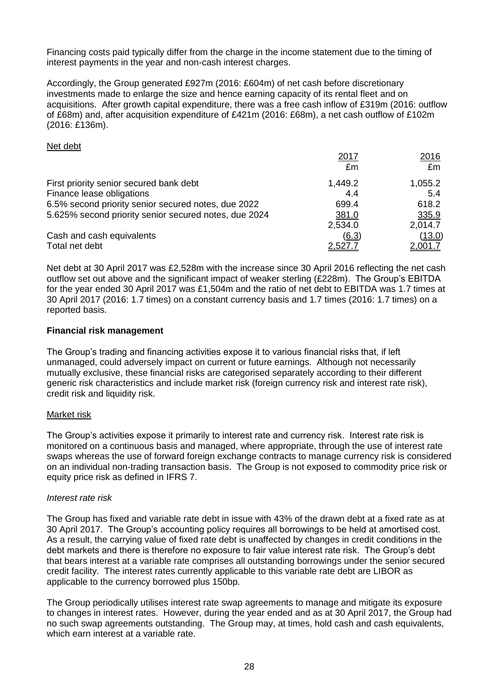Financing costs paid typically differ from the charge in the income statement due to the timing of interest payments in the year and non-cash interest charges.

Accordingly, the Group generated £927m (2016: £604m) of net cash before discretionary investments made to enlarge the size and hence earning capacity of its rental fleet and on acquisitions. After growth capital expenditure, there was a free cash inflow of £319m (2016: outflow of £68m) and, after acquisition expenditure of £421m (2016: £68m), a net cash outflow of £102m (2016: £136m).

#### Net debt

|                                                       | 2017    | 2016    |
|-------------------------------------------------------|---------|---------|
|                                                       | £m      | £m      |
| First priority senior secured bank debt               | 1,449.2 | 1,055.2 |
| Finance lease obligations                             | 4.4     | 5.4     |
| 6.5% second priority senior secured notes, due 2022   | 699.4   | 618.2   |
| 5.625% second priority senior secured notes, due 2024 | 381.0   | 335.9   |
|                                                       | 2,534.0 | 2,014.7 |
| Cash and cash equivalents                             | (6.3)   | (13.0)  |
| Total net debt                                        | 2,527.7 | 2,001.7 |

Net debt at 30 April 2017 was £2,528m with the increase since 30 April 2016 reflecting the net cash outflow set out above and the significant impact of weaker sterling (£228m). The Group's EBITDA for the year ended 30 April 2017 was £1,504m and the ratio of net debt to EBITDA was 1.7 times at 30 April 2017 (2016: 1.7 times) on a constant currency basis and 1.7 times (2016: 1.7 times) on a reported basis.

#### **Financial risk management**

The Group's trading and financing activities expose it to various financial risks that, if left unmanaged, could adversely impact on current or future earnings. Although not necessarily mutually exclusive, these financial risks are categorised separately according to their different generic risk characteristics and include market risk (foreign currency risk and interest rate risk), credit risk and liquidity risk.

#### Market risk

The Group's activities expose it primarily to interest rate and currency risk. Interest rate risk is monitored on a continuous basis and managed, where appropriate, through the use of interest rate swaps whereas the use of forward foreign exchange contracts to manage currency risk is considered on an individual non-trading transaction basis. The Group is not exposed to commodity price risk or equity price risk as defined in IFRS 7.

#### *Interest rate risk*

The Group has fixed and variable rate debt in issue with 43% of the drawn debt at a fixed rate as at 30 April 2017. The Group's accounting policy requires all borrowings to be held at amortised cost. As a result, the carrying value of fixed rate debt is unaffected by changes in credit conditions in the debt markets and there is therefore no exposure to fair value interest rate risk. The Group's debt that bears interest at a variable rate comprises all outstanding borrowings under the senior secured credit facility. The interest rates currently applicable to this variable rate debt are LIBOR as applicable to the currency borrowed plus 150bp.

The Group periodically utilises interest rate swap agreements to manage and mitigate its exposure to changes in interest rates. However, during the year ended and as at 30 April 2017, the Group had no such swap agreements outstanding. The Group may, at times, hold cash and cash equivalents, which earn interest at a variable rate.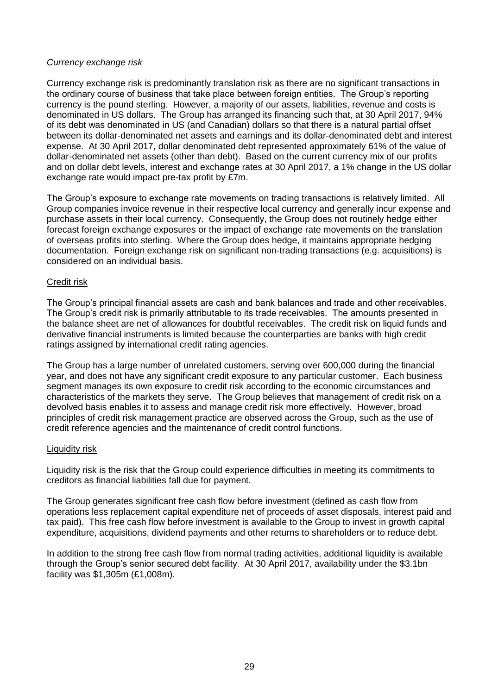## *Currency exchange risk*

Currency exchange risk is predominantly translation risk as there are no significant transactions in the ordinary course of business that take place between foreign entities. The Group's reporting currency is the pound sterling. However, a majority of our assets, liabilities, revenue and costs is denominated in US dollars. The Group has arranged its financing such that, at 30 April 2017, 94% of its debt was denominated in US (and Canadian) dollars so that there is a natural partial offset between its dollar-denominated net assets and earnings and its dollar-denominated debt and interest expense. At 30 April 2017, dollar denominated debt represented approximately 61% of the value of dollar-denominated net assets (other than debt). Based on the current currency mix of our profits and on dollar debt levels, interest and exchange rates at 30 April 2017, a 1% change in the US dollar exchange rate would impact pre-tax profit by £7m.

The Group's exposure to exchange rate movements on trading transactions is relatively limited. All Group companies invoice revenue in their respective local currency and generally incur expense and purchase assets in their local currency. Consequently, the Group does not routinely hedge either forecast foreign exchange exposures or the impact of exchange rate movements on the translation of overseas profits into sterling. Where the Group does hedge, it maintains appropriate hedging documentation. Foreign exchange risk on significant non-trading transactions (e.g. acquisitions) is considered on an individual basis.

#### Credit risk

The Group's principal financial assets are cash and bank balances and trade and other receivables. The Group's credit risk is primarily attributable to its trade receivables. The amounts presented in the balance sheet are net of allowances for doubtful receivables. The credit risk on liquid funds and derivative financial instruments is limited because the counterparties are banks with high credit ratings assigned by international credit rating agencies.

The Group has a large number of unrelated customers, serving over 600,000 during the financial year, and does not have any significant credit exposure to any particular customer. Each business segment manages its own exposure to credit risk according to the economic circumstances and characteristics of the markets they serve. The Group believes that management of credit risk on a devolved basis enables it to assess and manage credit risk more effectively. However, broad principles of credit risk management practice are observed across the Group, such as the use of credit reference agencies and the maintenance of credit control functions.

#### Liquidity risk

Liquidity risk is the risk that the Group could experience difficulties in meeting its commitments to creditors as financial liabilities fall due for payment.

The Group generates significant free cash flow before investment (defined as cash flow from operations less replacement capital expenditure net of proceeds of asset disposals, interest paid and tax paid). This free cash flow before investment is available to the Group to invest in growth capital expenditure, acquisitions, dividend payments and other returns to shareholders or to reduce debt.

In addition to the strong free cash flow from normal trading activities, additional liquidity is available through the Group's senior secured debt facility. At 30 April 2017, availability under the \$3.1bn facility was \$1,305m (£1,008m).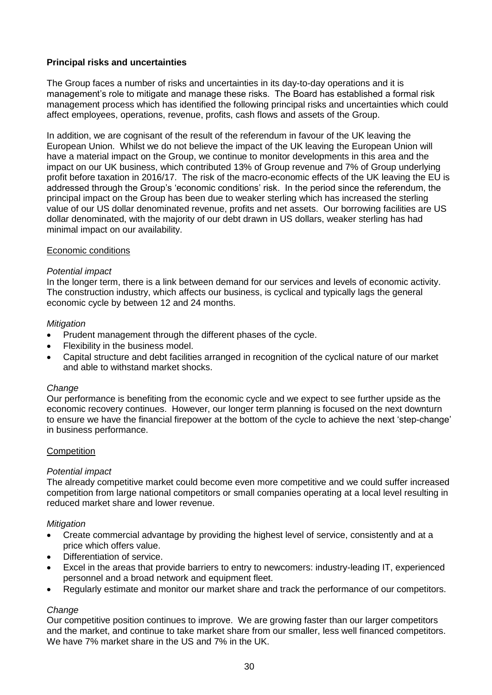## **Principal risks and uncertainties**

The Group faces a number of risks and uncertainties in its day-to-day operations and it is management's role to mitigate and manage these risks. The Board has established a formal risk management process which has identified the following principal risks and uncertainties which could affect employees, operations, revenue, profits, cash flows and assets of the Group.

In addition, we are cognisant of the result of the referendum in favour of the UK leaving the European Union. Whilst we do not believe the impact of the UK leaving the European Union will have a material impact on the Group, we continue to monitor developments in this area and the impact on our UK business, which contributed 13% of Group revenue and 7% of Group underlying profit before taxation in 2016/17. The risk of the macro-economic effects of the UK leaving the EU is addressed through the Group's 'economic conditions' risk. In the period since the referendum, the principal impact on the Group has been due to weaker sterling which has increased the sterling value of our US dollar denominated revenue, profits and net assets. Our borrowing facilities are US dollar denominated, with the majority of our debt drawn in US dollars, weaker sterling has had minimal impact on our availability.

## Economic conditions

#### *Potential impact*

In the longer term, there is a link between demand for our services and levels of economic activity. The construction industry, which affects our business, is cyclical and typically lags the general economic cycle by between 12 and 24 months.

#### *Mitigation*

- Prudent management through the different phases of the cycle.
- Flexibility in the business model.
- Capital structure and debt facilities arranged in recognition of the cyclical nature of our market and able to withstand market shocks.

#### *Change*

Our performance is benefiting from the economic cycle and we expect to see further upside as the economic recovery continues. However, our longer term planning is focused on the next downturn to ensure we have the financial firepower at the bottom of the cycle to achieve the next 'step-change' in business performance.

#### **Competition**

#### *Potential impact*

The already competitive market could become even more competitive and we could suffer increased competition from large national competitors or small companies operating at a local level resulting in reduced market share and lower revenue.

#### *Mitigation*

- Create commercial advantage by providing the highest level of service, consistently and at a price which offers value.
- Differentiation of service.
- Excel in the areas that provide barriers to entry to newcomers: industry-leading IT, experienced personnel and a broad network and equipment fleet.
- Regularly estimate and monitor our market share and track the performance of our competitors.

#### *Change*

Our competitive position continues to improve. We are growing faster than our larger competitors and the market, and continue to take market share from our smaller, less well financed competitors. We have 7% market share in the US and 7% in the UK.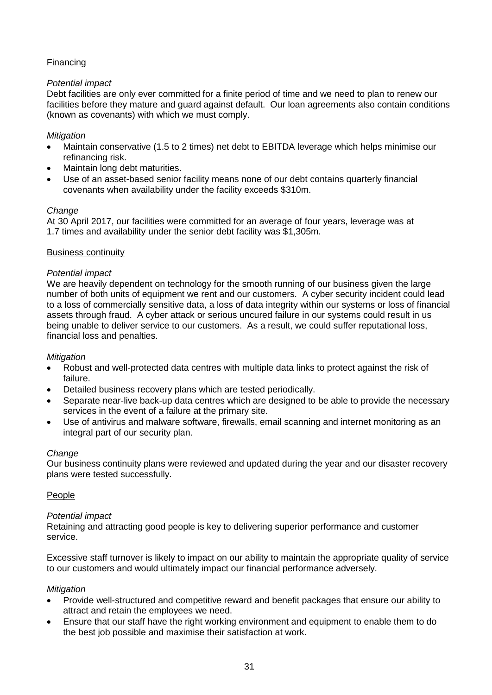# Financing

## *Potential impact*

Debt facilities are only ever committed for a finite period of time and we need to plan to renew our facilities before they mature and guard against default. Our loan agreements also contain conditions (known as covenants) with which we must comply.

## *Mitigation*

- Maintain conservative (1.5 to 2 times) net debt to EBITDA leverage which helps minimise our refinancing risk.
- Maintain long debt maturities.
- Use of an asset-based senior facility means none of our debt contains quarterly financial covenants when availability under the facility exceeds \$310m.

## *Change*

At 30 April 2017, our facilities were committed for an average of four years, leverage was at 1.7 times and availability under the senior debt facility was \$1,305m.

## Business continuity

## *Potential impact*

We are heavily dependent on technology for the smooth running of our business given the large number of both units of equipment we rent and our customers. A cyber security incident could lead to a loss of commercially sensitive data, a loss of data integrity within our systems or loss of financial assets through fraud. A cyber attack or serious uncured failure in our systems could result in us being unable to deliver service to our customers. As a result, we could suffer reputational loss, financial loss and penalties.

## *Mitigation*

- Robust and well-protected data centres with multiple data links to protect against the risk of failure.
- Detailed business recovery plans which are tested periodically.
- Separate near-live back-up data centres which are designed to be able to provide the necessary services in the event of a failure at the primary site.
- Use of antivirus and malware software, firewalls, email scanning and internet monitoring as an integral part of our security plan.

## *Change*

Our business continuity plans were reviewed and updated during the year and our disaster recovery plans were tested successfully.

## People

## *Potential impact*

Retaining and attracting good people is key to delivering superior performance and customer service.

Excessive staff turnover is likely to impact on our ability to maintain the appropriate quality of service to our customers and would ultimately impact our financial performance adversely.

## *Mitigation*

- Provide well-structured and competitive reward and benefit packages that ensure our ability to attract and retain the employees we need.
- Ensure that our staff have the right working environment and equipment to enable them to do the best job possible and maximise their satisfaction at work.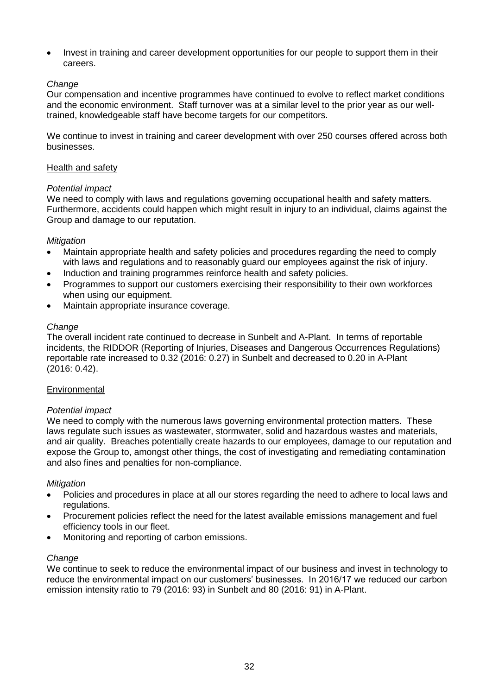Invest in training and career development opportunities for our people to support them in their careers.

## *Change*

Our compensation and incentive programmes have continued to evolve to reflect market conditions and the economic environment. Staff turnover was at a similar level to the prior year as our welltrained, knowledgeable staff have become targets for our competitors.

We continue to invest in training and career development with over 250 courses offered across both businesses.

## Health and safety

## *Potential impact*

We need to comply with laws and regulations governing occupational health and safety matters. Furthermore, accidents could happen which might result in injury to an individual, claims against the Group and damage to our reputation.

## *Mitigation*

- Maintain appropriate health and safety policies and procedures regarding the need to comply with laws and regulations and to reasonably guard our employees against the risk of injury.
- Induction and training programmes reinforce health and safety policies.
- Programmes to support our customers exercising their responsibility to their own workforces when using our equipment.
- Maintain appropriate insurance coverage.

#### *Change*

The overall incident rate continued to decrease in Sunbelt and A-Plant. In terms of reportable incidents, the RIDDOR (Reporting of Injuries, Diseases and Dangerous Occurrences Regulations) reportable rate increased to 0.32 (2016: 0.27) in Sunbelt and decreased to 0.20 in A-Plant (2016: 0.42).

## **Environmental**

#### *Potential impact*

We need to comply with the numerous laws governing environmental protection matters. These laws regulate such issues as wastewater, stormwater, solid and hazardous wastes and materials, and air quality. Breaches potentially create hazards to our employees, damage to our reputation and expose the Group to, amongst other things, the cost of investigating and remediating contamination and also fines and penalties for non-compliance.

#### *Mitigation*

- Policies and procedures in place at all our stores regarding the need to adhere to local laws and regulations.
- Procurement policies reflect the need for the latest available emissions management and fuel efficiency tools in our fleet.
- Monitoring and reporting of carbon emissions.

#### *Change*

We continue to seek to reduce the environmental impact of our business and invest in technology to reduce the environmental impact on our customers' businesses. In 2016/17 we reduced our carbon emission intensity ratio to 79 (2016: 93) in Sunbelt and 80 (2016: 91) in A-Plant.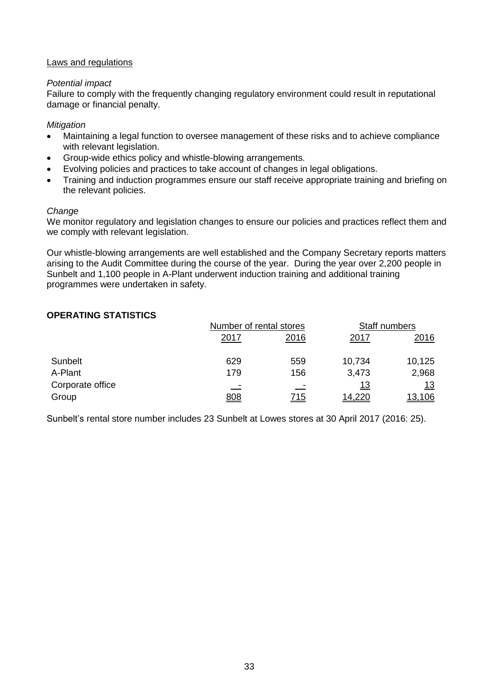## Laws and regulations

## *Potential impact*

Failure to comply with the frequently changing regulatory environment could result in reputational damage or financial penalty.

## *Mitigation*

- Maintaining a legal function to oversee management of these risks and to achieve compliance with relevant legislation.
- Group-wide ethics policy and whistle-blowing arrangements.
- Evolving policies and practices to take account of changes in legal obligations.
- Training and induction programmes ensure our staff receive appropriate training and briefing on the relevant policies.

## *Change*

We monitor regulatory and legislation changes to ensure our policies and practices reflect them and we comply with relevant legislation.

Our whistle-blowing arrangements are well established and the Company Secretary reports matters arising to the Audit Committee during the course of the year. During the year over 2,200 people in Sunbelt and 1,100 people in A-Plant underwent induction training and additional training programmes were undertaken in safety.

## **OPERATING STATISTICS**

|                  |             | Number of rental stores |              | Staff numbers |  |
|------------------|-------------|-------------------------|--------------|---------------|--|
|                  | <u>2017</u> | 2016                    | <u> 2017</u> | <u>2016</u>   |  |
| Sunbelt          | 629         | 559                     | 10,734       | 10,125        |  |
| A-Plant          | 179         | 156                     | 3,473        | 2,968         |  |
| Corporate office |             |                         | <u> 13</u>   | <u> 13</u>    |  |
| Group            | <u>808</u>  | <u>715</u>              | 14,220       | <u>13,106</u> |  |

Sunbelt's rental store number includes 23 Sunbelt at Lowes stores at 30 April 2017 (2016: 25).